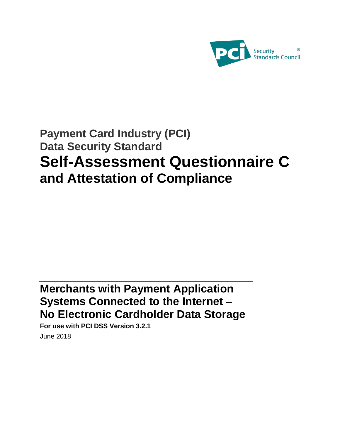

# **Payment Card Industry (PCI) Data Security Standard Self-Assessment Questionnaire C and Attestation of Compliance**

# **Merchants with Payment Application Systems Connected to the Internet – No Electronic Cardholder Data Storage**

**For use with PCI DSS Version 3.2.1** June 2018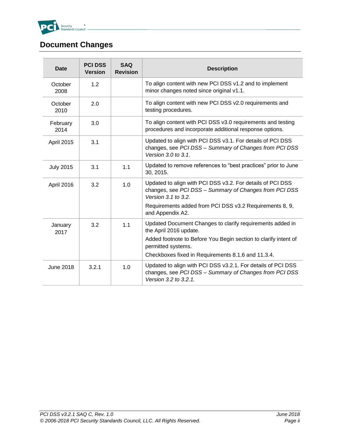

# <span id="page-1-0"></span>**Document Changes**

| <b>Date</b>      | <b>PCI DSS</b><br><b>Version</b> | <b>SAQ</b><br><b>Revision</b>                                                                                                                      | <b>Description</b>                                                                                                                              |  |
|------------------|----------------------------------|----------------------------------------------------------------------------------------------------------------------------------------------------|-------------------------------------------------------------------------------------------------------------------------------------------------|--|
| October<br>2008  | 1.2                              |                                                                                                                                                    | To align content with new PCI DSS v1.2 and to implement<br>minor changes noted since original v1.1.                                             |  |
| October<br>2010  | 2.0                              |                                                                                                                                                    | To align content with new PCI DSS v2.0 requirements and<br>testing procedures.                                                                  |  |
| February<br>2014 | 3.0                              |                                                                                                                                                    | To align content with PCI DSS v3.0 requirements and testing<br>procedures and incorporate additional response options.                          |  |
| April 2015       | 3.1                              |                                                                                                                                                    | Updated to align with PCI DSS v3.1. For details of PCI DSS<br>changes, see PCI DSS - Summary of Changes from PCI DSS<br>Version 3.0 to 3.1.     |  |
| <b>July 2015</b> | 3.1                              | 1.1                                                                                                                                                | Updated to remove references to "best practices" prior to June<br>30, 2015.                                                                     |  |
| April 2016       | 3.2                              | Updated to align with PCI DSS v3.2. For details of PCI DSS<br>1.0<br>changes, see PCI DSS - Summary of Changes from PCI DSS<br>Version 3.1 to 3.2. |                                                                                                                                                 |  |
|                  |                                  |                                                                                                                                                    | Requirements added from PCI DSS v3.2 Requirements 8, 9,<br>and Appendix A2.                                                                     |  |
| January<br>2017  | 3.2                              | 1.1                                                                                                                                                | Updated Document Changes to clarify requirements added in<br>the April 2016 update.                                                             |  |
|                  |                                  |                                                                                                                                                    | Added footnote to Before You Begin section to clarify intent of<br>permitted systems.                                                           |  |
|                  |                                  |                                                                                                                                                    | Checkboxes fixed in Requirements 8.1.6 and 11.3.4.                                                                                              |  |
| <b>June 2018</b> | 3.2.1                            | 1.0                                                                                                                                                | Updated to align with PCI DSS v3.2.1. For details of PCI DSS<br>changes, see PCI DSS - Summary of Changes from PCI DSS<br>Version 3.2 to 3.2.1. |  |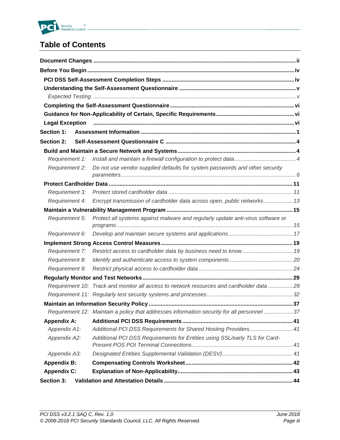

# **Table of Contents**

| <b>Section 1:</b>     |                                                                                             |  |
|-----------------------|---------------------------------------------------------------------------------------------|--|
| <b>Section 2:</b>     |                                                                                             |  |
|                       |                                                                                             |  |
| Requirement 1:        |                                                                                             |  |
| <b>Requirement 2:</b> | Do not use vendor-supplied defaults for system passwords and other security                 |  |
|                       |                                                                                             |  |
|                       |                                                                                             |  |
| Requirement 3:        |                                                                                             |  |
| <b>Requirement 4:</b> | Encrypt transmission of cardholder data across open, public networks 13                     |  |
|                       |                                                                                             |  |
| Requirement 5:        | Protect all systems against malware and regularly update anti-virus software or             |  |
| Requirement 6:        |                                                                                             |  |
|                       |                                                                                             |  |
| <b>Requirement 7:</b> | Restrict access to cardholder data by business need to know 19                              |  |
| Requirement 8:        |                                                                                             |  |
| Requirement 9:        |                                                                                             |  |
|                       |                                                                                             |  |
|                       | Requirement 10: Track and monitor all access to network resources and cardholder data 29    |  |
|                       |                                                                                             |  |
|                       |                                                                                             |  |
|                       | Requirement 12: Maintain a policy that addresses information security for all personnel  37 |  |
| <b>Appendix A:</b>    |                                                                                             |  |
| Appendix A1:          | Additional PCI DSS Requirements for Shared Hosting Providers 41                             |  |
| Appendix A2:          | Additional PCI DSS Requirements for Entities using SSL/early TLS for Card-                  |  |
| Appendix A3:          |                                                                                             |  |
| <b>Appendix B:</b>    |                                                                                             |  |
| <b>Appendix C:</b>    |                                                                                             |  |
| Section 3:            |                                                                                             |  |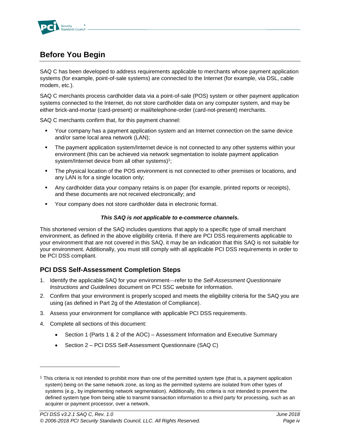

# <span id="page-3-0"></span>**Before You Begin**

SAQ C has been developed to address requirements applicable to merchants whose payment application systems (for example, point-of-sale systems) are connected to the Internet (for example, via DSL, cable modem, etc.).

SAQ C merchants process cardholder data via a point-of-sale (POS) system or other payment application systems connected to the Internet, do not store cardholder data on any computer system, and may be either brick-and-mortar (card-present) or mail/telephone-order (card-not-present) merchants.

SAQ C merchants confirm that, for this payment channel:

- Your company has a payment application system and an Internet connection on the same device and/or same local area network (LAN);
- The payment application system/Internet device is not connected to any other systems within your environment (this can be achieved via network segmentation to isolate payment application system/Internet device from all other systems) $1$ ;
- The physical location of the POS environment is not connected to other premises or locations, and any LAN is for a single location only;
- Any cardholder data your company retains is on paper (for example, printed reports or receipts), and these documents are not received electronically; and
- Your company does not store cardholder data in electronic format.

#### *This SAQ is not applicable to e-commerce channels.*

This shortened version of the SAQ includes questions that apply to a specific type of small merchant environment, as defined in the above eligibility criteria. If there are PCI DSS requirements applicable to your environment that are not covered in this SAQ, it may be an indication that this SAQ is not suitable for your environment. Additionally, you must still comply with all applicable PCI DSS requirements in order to be PCI DSS compliant.

### <span id="page-3-1"></span>**PCI DSS Self-Assessment Completion Steps**

- 1. Identify the applicable SAQ for your environment—refer to the *Self-Assessment Questionnaire Instructions and Guidelines* document on PCI SSC website for information.
- 2. Confirm that your environment is properly scoped and meets the eligibility criteria for the SAQ you are using (as defined in Part 2g of the Attestation of Compliance).
- 3. Assess your environment for compliance with applicable PCI DSS requirements.
- 4. Complete all sections of this document:

l

- Section 1 (Parts 1 & 2 of the AOC) Assessment Information and Executive Summary
- Section 2 PCI DSS Self-Assessment Questionnaire (SAQ C)

 $1$  This criteria is not intended to prohibit more than one of the permitted system type (that is, a payment application system) being on the same network zone, as long as the permitted systems are isolated from other types of systems (e.g., by implementing network segmentation). Additionally, this criteria is not intended to prevent the defined system type from being able to transmit transaction information to a third party for processing, such as an acquirer or payment processor, over a network.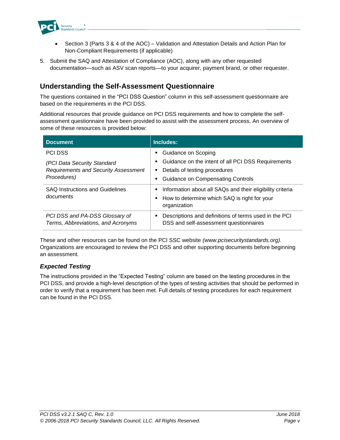

- Section 3 (Parts 3 & 4 of the AOC) Validation and Attestation Details and Action Plan for Non-Compliant Requirements (if applicable)
- 5. Submit the SAQ and Attestation of Compliance (AOC), along with any other requested documentation—such as ASV scan reports—to your acquirer, payment brand, or other requester.

## <span id="page-4-0"></span>**Understanding the Self-Assessment Questionnaire**

The questions contained in the "PCI DSS Question" column in this self-assessment questionnaire are based on the requirements in the PCI DSS.

Additional resources that provide guidance on PCI DSS requirements and how to complete the selfassessment questionnaire have been provided to assist with the assessment process. An overview of some of these resources is provided below:

| <b>Document</b>                                                      | Includes:                                                                                                                           |
|----------------------------------------------------------------------|-------------------------------------------------------------------------------------------------------------------------------------|
| <b>PCI DSS</b>                                                       | Guidance on Scoping<br>٠                                                                                                            |
| (PCI Data Security Standard                                          | Guidance on the intent of all PCI DSS Requirements<br>٠                                                                             |
| <b>Requirements and Security Assessment</b>                          | Details of testing procedures<br>Е                                                                                                  |
| Procedures)                                                          | <b>Guidance on Compensating Controls</b><br>٠                                                                                       |
| <b>SAQ Instructions and Guidelines</b><br>documents                  | Information about all SAQs and their eligibility criteria<br>Е<br>How to determine which SAQ is right for your<br>п<br>organization |
| PCI DSS and PA-DSS Glossary of<br>Terms, Abbreviations, and Acronyms | Descriptions and definitions of terms used in the PCI<br>٠<br>DSS and self-assessment questionnaires                                |

These and other resources can be found on the PCI SSC website *[\(www.pcisecuritystandards.org\)](http://www.pcisecuritystandards.org/)*. Organizations are encouraged to review the PCI DSS and other supporting documents before beginning an assessment.

### <span id="page-4-1"></span>*Expected Testing*

The instructions provided in the "Expected Testing" column are based on the testing procedures in the PCI DSS, and provide a high-level description of the types of testing activities that should be performed in order to verify that a requirement has been met. Full details of testing procedures for each requirement can be found in the PCI DSS.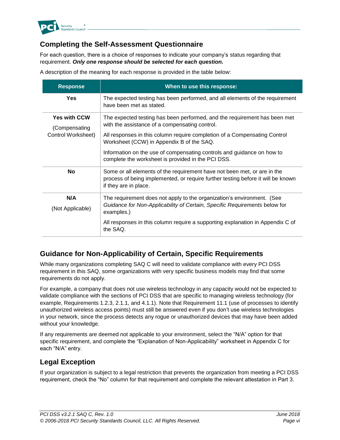

## <span id="page-5-0"></span>**Completing the Self-Assessment Questionnaire**

For each question, there is a choice of responses to indicate your company's status regarding that requirement. *Only one response should be selected for each question.*

A description of the meaning for each response is provided in the table below:

| <b>Response</b>                      | When to use this response:                                                                                                                                                            |
|--------------------------------------|---------------------------------------------------------------------------------------------------------------------------------------------------------------------------------------|
| Yes                                  | The expected testing has been performed, and all elements of the requirement<br>have been met as stated.                                                                              |
| <b>Yes with CCW</b><br>(Compensating | The expected testing has been performed, and the requirement has been met<br>with the assistance of a compensating control.                                                           |
| Control Worksheet)                   | All responses in this column require completion of a Compensating Control<br>Worksheet (CCW) in Appendix B of the SAQ.                                                                |
|                                      | Information on the use of compensating controls and guidance on how to<br>complete the worksheet is provided in the PCI DSS.                                                          |
| <b>No</b>                            | Some or all elements of the requirement have not been met, or are in the<br>process of being implemented, or require further testing before it will be known<br>if they are in place. |
| N/A                                  | The requirement does not apply to the organization's environment. (See                                                                                                                |
| (Not Applicable)                     | Guidance for Non-Applicability of Certain, Specific Requirements below for<br>examples.)                                                                                              |
|                                      | All responses in this column require a supporting explanation in Appendix C of<br>the SAQ.                                                                                            |

### <span id="page-5-1"></span>**Guidance for Non-Applicability of Certain, Specific Requirements**

While many organizations completing SAQ C will need to validate compliance with every PCI DSS requirement in this SAQ, some organizations with very specific business models may find that some requirements do not apply.

For example, a company that does not use wireless technology in any capacity would not be expected to validate compliance with the sections of PCI DSS that are specific to managing wireless technology (for example, Requirements 1.2.3, 2.1.1, and 4.1.1). Note that Requirement 11.1 (use of processes to identify unauthorized wireless access points) must still be answered even if you don't use wireless technologies in your network, since the process detects any rogue or unauthorized devices that may have been added without your knowledge.

If any requirements are deemed not applicable to your environment, select the "N/A" option for that specific requirement, and complete the "Explanation of Non-Applicability" worksheet in Appendix C for each "N/A" entry.

### <span id="page-5-2"></span>**Legal Exception**

If your organization is subject to a legal restriction that prevents the organization from meeting a PCI DSS requirement, check the "No" column for that requirement and complete the relevant attestation in Part 3.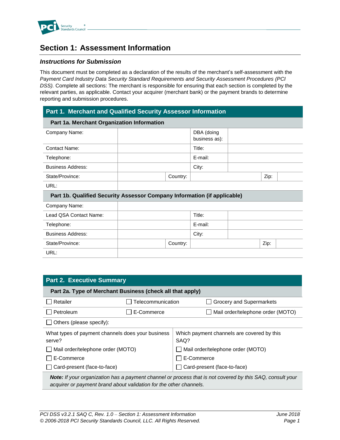

# <span id="page-6-0"></span>**Section 1: Assessment Information**

#### *Instructions for Submission*

This document must be completed as a declaration of the results of the merchant's self-assessment with the *Payment Card Industry Data Security Standard Requirements and Security Assessment Procedures (PCI DSS).* Complete all sections: The merchant is responsible for ensuring that each section is completed by the relevant parties, as applicable. Contact your acquirer (merchant bank) or the payment brands to determine reporting and submission procedures.

#### **Part 1. Merchant and Qualified Security Assessor Information**

| Part 1a. Merchant Organization Information                               |          |                     |      |  |
|--------------------------------------------------------------------------|----------|---------------------|------|--|
| Company Name:                                                            |          | DBA (doing          |      |  |
|                                                                          |          | business as):       |      |  |
| Contact Name:                                                            |          | Title:              |      |  |
| Telephone:                                                               |          | E-mail:             |      |  |
| <b>Business Address:</b>                                                 |          | City:               |      |  |
| State/Province:                                                          | Country: |                     | Zip: |  |
| URL:                                                                     |          |                     |      |  |
| Part 1b. Qualified Security Assessor Company Information (if applicable) |          |                     |      |  |
| Company Name:                                                            |          |                     |      |  |
| Lead QSA Contact Name:                                                   |          | Title:              |      |  |
| Telephone:                                                               |          | E-mail:             |      |  |
| Ducingon Address                                                         |          | $\bigcap_{i=1}^{n}$ |      |  |

| Business Address: |          | City: |      |  |
|-------------------|----------|-------|------|--|
| State/Province:   | Country: |       | Zip: |  |
| URL:              |          |       |      |  |

| <b>Part 2. Executive Summary</b>                                                                                                                                                |                   |                                                    |                                   |  |  |
|---------------------------------------------------------------------------------------------------------------------------------------------------------------------------------|-------------------|----------------------------------------------------|-----------------------------------|--|--|
| Part 2a. Type of Merchant Business (check all that apply)                                                                                                                       |                   |                                                    |                                   |  |  |
| Retailer                                                                                                                                                                        | Telecommunication |                                                    | <b>Grocery and Supermarkets</b>   |  |  |
| Petroleum                                                                                                                                                                       | E-Commerce        |                                                    | Mail order/telephone order (MOTO) |  |  |
| Others (please specify):                                                                                                                                                        |                   |                                                    |                                   |  |  |
| What types of payment channels does your business<br>serve?                                                                                                                     |                   | Which payment channels are covered by this<br>SAQ? |                                   |  |  |
| Mail order/telephone order (MOTO)                                                                                                                                               |                   | Mail order/telephone order (MOTO)                  |                                   |  |  |
| E-Commerce                                                                                                                                                                      |                   | E-Commerce                                         |                                   |  |  |
| Card-present (face-to-face)                                                                                                                                                     |                   |                                                    | Card-present (face-to-face)       |  |  |
| Note: If your organization has a payment channel or process that is not covered by this SAQ, consult your<br>acquirer or payment brand about validation for the other channels. |                   |                                                    |                                   |  |  |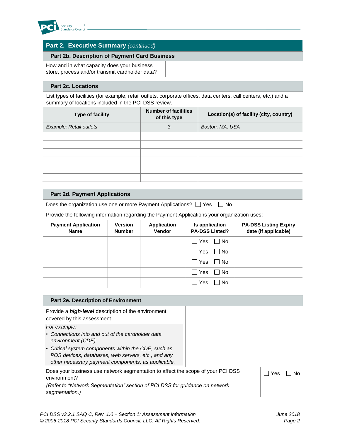

### **Part 2. Executive Summary** *(continued)*

#### **Part 2b. Description of Payment Card Business**

How and in what capacity does your business store, process and/or transmit cardholder data?

#### **Part 2c. Locations**

List types of facilities (for example, retail outlets, corporate offices, data centers, call centers, etc.) and a summary of locations included in the PCI DSS review.

| Type of facility        | <b>Number of facilities</b><br>of this type | Location(s) of facility (city, country) |
|-------------------------|---------------------------------------------|-----------------------------------------|
| Example: Retail outlets | 3                                           | Boston, MA, USA                         |
|                         |                                             |                                         |
|                         |                                             |                                         |
|                         |                                             |                                         |
|                         |                                             |                                         |
|                         |                                             |                                         |
|                         |                                             |                                         |

#### **Part 2d. Payment Applications**

Does the organization use one or more Payment Applications?  $\Box$  Yes  $\Box$  No

Provide the following information regarding the Payment Applications your organization uses:

| <b>Payment Application</b><br><b>Name</b> | <b>Version</b><br><b>Number</b> | <b>Application</b><br>Vendor | Is application<br><b>PA-DSS Listed?</b> | <b>PA-DSS Listing Expiry</b><br>date (if applicable) |
|-------------------------------------------|---------------------------------|------------------------------|-----------------------------------------|------------------------------------------------------|
|                                           |                                 |                              | $\Box$ Yes<br>$\Box$ No                 |                                                      |
|                                           |                                 |                              | l l Yes<br>l No                         |                                                      |
|                                           |                                 |                              | $\Box$ Yes<br>$\Box$ No                 |                                                      |
|                                           |                                 |                              | $\Box$ Yes<br>$\blacksquare$ No         |                                                      |
|                                           |                                 |                              | $\Box$ Yes<br>1 No                      |                                                      |

| Part 2e. Description of Environment                                                                                                                                                                   |       |    |
|-------------------------------------------------------------------------------------------------------------------------------------------------------------------------------------------------------|-------|----|
| Provide a <i>high-level</i> description of the environment<br>covered by this assessment.                                                                                                             |       |    |
| For example:<br>• Connections into and out of the cardholder data<br>environment (CDE).<br>• Critical system components within the CDE, such as<br>POS devices, databases, web servers, etc., and any |       |    |
| other necessary payment components, as applicable.                                                                                                                                                    |       |    |
| Does your business use network segmentation to affect the scope of your PCI DSS<br>environment?                                                                                                       | i Yes | N٥ |
| (Refer to "Network Segmentation" section of PCI DSS for guidance on network<br>segmentation.)                                                                                                         |       |    |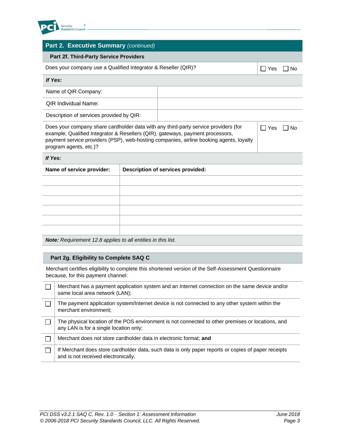

### **Part 2. Executive Summary** *(continued)*

#### **Part 2f. Third-Party Service Providers**

| Does your company use a Qualified Integrator & Reseller (QIR)? |  |  | $\Box$ No |
|----------------------------------------------------------------|--|--|-----------|
| If Yes:                                                        |  |  |           |
| Name of QIR Company:                                           |  |  |           |
| <b>QIR Individual Name:</b>                                    |  |  |           |
| Description of services provided by QIR:                       |  |  |           |

Does your company share cardholder data with any third-party service providers (for example, Qualified Integrator & Resellers (QIR), gateways, payment processors, payment service providers (PSP), web-hosting companies, airline booking agents, loyalty program agents, etc.)?

 $\Box$  Yes  $\Box$  No

#### *If Yes:*

| <b>Description of services provided:</b> |  |  |
|------------------------------------------|--|--|
|                                          |  |  |
|                                          |  |  |
|                                          |  |  |
|                                          |  |  |
|                                          |  |  |
|                                          |  |  |
|                                          |  |  |

*Note: Requirement 12.8 applies to all entities in this list.*

#### **Part 2g. Eligibility to Complete SAQ C**

Merchant certifies eligibility to complete this shortened version of the Self-Assessment Questionnaire because, for this payment channel:

| Merchant has a payment application system and an Internet connection on the same device and/or<br>same local area network (LAN);            |
|---------------------------------------------------------------------------------------------------------------------------------------------|
| The payment application system/Internet device is not connected to any other system within the<br>merchant environment;                     |
| The physical location of the POS environment is not connected to other premises or locations, and<br>any LAN is for a single location only; |
| Merchant does not store cardholder data in electronic format: and                                                                           |
| If Merchant does store cardholder data, such data is only paper reports or copies of paper receipts<br>and is not received electronically.  |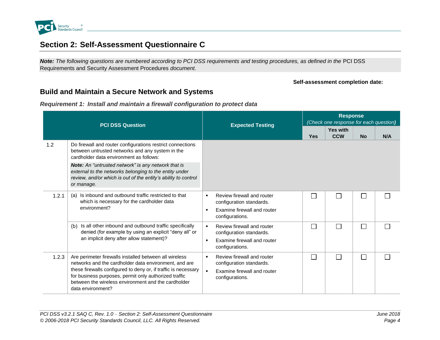

# **Section 2: Self-Assessment Questionnaire C**

*Note: The following questions are numbered according to PCI DSS requirements and testing procedures, as defined in the* PCI DSS Requirements and Security Assessment Procedures *document.* 

#### **Self-assessment completion date:**

### **Build and Maintain a Secure Network and Systems**

*Requirement 1: Install and maintain a firewall configuration to protect data*

<span id="page-9-2"></span><span id="page-9-1"></span><span id="page-9-0"></span>

|       | <b>PCI DSS Question</b>                                                                                                                                                                                                                                                                                                | <b>Expected Testing</b>                                                                                                                      | <b>Response</b><br>(Check one response for each question) |                               |           |     |  |
|-------|------------------------------------------------------------------------------------------------------------------------------------------------------------------------------------------------------------------------------------------------------------------------------------------------------------------------|----------------------------------------------------------------------------------------------------------------------------------------------|-----------------------------------------------------------|-------------------------------|-----------|-----|--|
|       |                                                                                                                                                                                                                                                                                                                        |                                                                                                                                              | <b>Yes</b>                                                | <b>Yes with</b><br><b>CCW</b> | <b>No</b> | N/A |  |
| 1.2   | Do firewall and router configurations restrict connections<br>between untrusted networks and any system in the<br>cardholder data environment as follows:                                                                                                                                                              |                                                                                                                                              |                                                           |                               |           |     |  |
|       | Note: An "untrusted network" is any network that is<br>external to the networks belonging to the entity under<br>review, and/or which is out of the entity's ability to control<br>or manage.                                                                                                                          |                                                                                                                                              |                                                           |                               |           |     |  |
| 1.2.1 | Is inbound and outbound traffic restricted to that<br>(a)<br>which is necessary for the cardholder data<br>environment?                                                                                                                                                                                                | Review firewall and router<br>$\blacksquare$<br>configuration standards.<br>Examine firewall and router<br>$\blacksquare$<br>configurations. | L                                                         | П                             |           |     |  |
|       | Is all other inbound and outbound traffic specifically<br>(b)<br>denied (for example by using an explicit "deny all" or<br>an implicit deny after allow statement)?                                                                                                                                                    | Review firewall and router<br>$\blacksquare$<br>configuration standards.<br>Examine firewall and router<br>$\blacksquare$<br>configurations. | П                                                         | П                             |           |     |  |
| 1.2.3 | Are perimeter firewalls installed between all wireless<br>networks and the cardholder data environment, and are<br>these firewalls configured to deny or, if traffic is necessary<br>for business purposes, permit only authorized traffic<br>between the wireless environment and the cardholder<br>data environment? | Review firewall and router<br>$\blacksquare$<br>configuration standards.<br>$\blacksquare$<br>Examine firewall and router<br>configurations. | $\Box$                                                    | П                             |           |     |  |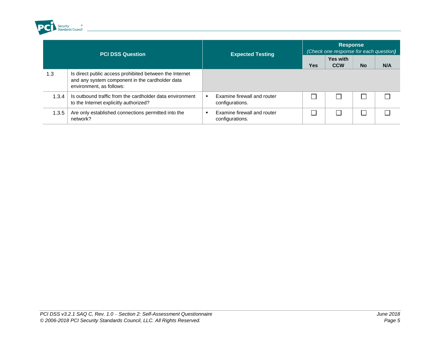

|       | <b>PCI DSS Question</b>                                                                                                                | <b>Expected Testing</b>                              | <b>Response</b><br>(Check one response for each question) |                               |           |     |
|-------|----------------------------------------------------------------------------------------------------------------------------------------|------------------------------------------------------|-----------------------------------------------------------|-------------------------------|-----------|-----|
|       |                                                                                                                                        |                                                      | <b>Yes</b>                                                | <b>Yes with</b><br><b>CCW</b> | <b>No</b> | N/A |
| 1.3   | Is direct public access prohibited between the Internet<br>and any system component in the cardholder data<br>environment, as follows: |                                                      |                                                           |                               |           |     |
| 1.3.4 | Is outbound traffic from the cardholder data environment<br>to the Internet explicitly authorized?                                     | Examine firewall and router<br>configurations.       |                                                           |                               |           |     |
| 1.3.5 | Are only established connections permitted into the<br>network?                                                                        | Examine firewall and router<br>п.<br>configurations. |                                                           |                               |           |     |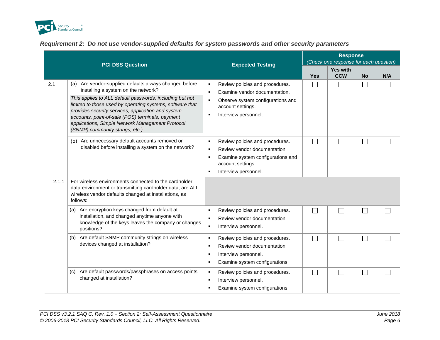

|  |  |  | Requirement 2: Do not use vendor-supplied defaults for system passwords and other security parameters |
|--|--|--|-------------------------------------------------------------------------------------------------------|
|  |  |  |                                                                                                       |

<span id="page-11-0"></span>

|       |                                                                                                                                                                                                                                                                                                                                                                                                                          |                                                                                                                                                                                                                            |            | <b>Response</b><br>(Check one response for each question) |                             |     |
|-------|--------------------------------------------------------------------------------------------------------------------------------------------------------------------------------------------------------------------------------------------------------------------------------------------------------------------------------------------------------------------------------------------------------------------------|----------------------------------------------------------------------------------------------------------------------------------------------------------------------------------------------------------------------------|------------|-----------------------------------------------------------|-----------------------------|-----|
|       | <b>PCI DSS Question</b>                                                                                                                                                                                                                                                                                                                                                                                                  | <b>Expected Testing</b>                                                                                                                                                                                                    | <b>Yes</b> | <b>Yes with</b><br><b>CCW</b>                             | <b>No</b>                   | N/A |
| 2.1   | (a) Are vendor-supplied defaults always changed before<br>installing a system on the network?<br>This applies to ALL default passwords, including but not<br>limited to those used by operating systems, software that<br>provides security services, application and system<br>accounts, point-of-sale (POS) terminals, payment<br>applications, Simple Network Management Protocol<br>(SNMP) community strings, etc.). | Review policies and procedures.<br>$\blacksquare$<br>Examine vendor documentation.<br>$\blacksquare$<br>Observe system configurations and<br>$\blacksquare$<br>account settings.<br>Interview personnel.<br>$\blacksquare$ |            |                                                           | $\mathcal{L}$               |     |
|       | Are unnecessary default accounts removed or<br>(b)<br>disabled before installing a system on the network?                                                                                                                                                                                                                                                                                                                | Review policies and procedures.<br>$\blacksquare$<br>Review vendor documentation.<br>$\blacksquare$<br>Examine system configurations and<br>٠<br>account settings.<br>Interview personnel.<br>$\blacksquare$               |            |                                                           | $\mathcal{L}$               |     |
| 2.1.1 | For wireless environments connected to the cardholder<br>data environment or transmitting cardholder data, are ALL<br>wireless vendor defaults changed at installations, as<br>follows:                                                                                                                                                                                                                                  |                                                                                                                                                                                                                            |            |                                                           |                             |     |
|       | (a) Are encryption keys changed from default at<br>installation, and changed anytime anyone with<br>knowledge of the keys leaves the company or changes<br>positions?                                                                                                                                                                                                                                                    | Review policies and procedures.<br>$\blacksquare$<br>Review vendor documentation.<br>٠<br>$\blacksquare$<br>Interview personnel.                                                                                           |            |                                                           |                             |     |
|       | Are default SNMP community strings on wireless<br>(b)<br>devices changed at installation?                                                                                                                                                                                                                                                                                                                                | Review policies and procedures.<br>٠<br>Review vendor documentation.<br>٠<br>Interview personnel.<br>٠<br>Examine system configurations.<br>٠                                                                              |            |                                                           | $\mathcal{L}$               |     |
|       | (c) Are default passwords/passphrases on access points<br>changed at installation?                                                                                                                                                                                                                                                                                                                                       | Review policies and procedures.<br>$\blacksquare$<br>Interview personnel.<br>$\blacksquare$<br>Examine system configurations.<br>п                                                                                         |            |                                                           | $\mathcal{L}_{\mathcal{A}}$ |     |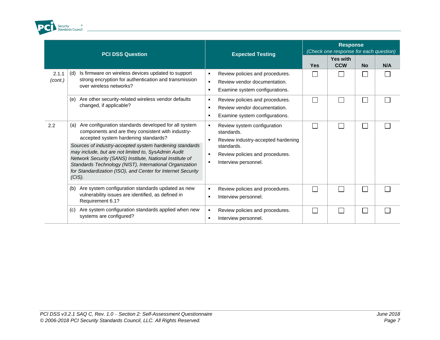

|                  | <b>PCI DSS Question</b>                                                                                                                                                                                                                                                                                           | <b>Expected Testing</b>                                                                                             | <b>Response</b><br>(Check one response for each question) |                          |                          |     |
|------------------|-------------------------------------------------------------------------------------------------------------------------------------------------------------------------------------------------------------------------------------------------------------------------------------------------------------------|---------------------------------------------------------------------------------------------------------------------|-----------------------------------------------------------|--------------------------|--------------------------|-----|
|                  |                                                                                                                                                                                                                                                                                                                   |                                                                                                                     | Yes                                                       | Yes with<br><b>CCW</b>   | <b>No</b>                | N/A |
| 2.1.1<br>(cont.) | Is firmware on wireless devices updated to support<br>(d)<br>strong encryption for authentication and transmission<br>over wireless networks?                                                                                                                                                                     | Review policies and procedures.<br>Review vendor documentation.<br>$\blacksquare$<br>Examine system configurations. |                                                           |                          |                          |     |
|                  | Are other security-related wireless vendor defaults<br>(e)<br>changed, if applicable?                                                                                                                                                                                                                             | Review policies and procedures.<br>Review vendor documentation.<br>Examine system configurations.                   | $\mathbf{I}$                                              | $\overline{\phantom{a}}$ | $\overline{\phantom{a}}$ |     |
| 2.2              | Are configuration standards developed for all system<br>(a)<br>components and are they consistent with industry-<br>accepted system hardening standards?                                                                                                                                                          | Review system configuration<br>standards.<br>Review industry-accepted hardening                                     |                                                           |                          |                          |     |
|                  | Sources of industry-accepted system hardening standards<br>may include, but are not limited to, SysAdmin Audit<br>Network Security (SANS) Institute, National Institute of<br>Standards Technology (NIST), International Organization<br>for Standardization (ISO), and Center for Internet Security<br>$(CIS)$ . | standards.<br>Review policies and procedures.<br>Interview personnel.                                               |                                                           |                          |                          |     |
|                  | Are system configuration standards updated as new<br>(b)<br>vulnerability issues are identified, as defined in<br>Requirement 6.1?                                                                                                                                                                                | Review policies and procedures.<br>Interview personnel.                                                             |                                                           | <b>Contract</b>          |                          |     |
|                  | Are system configuration standards applied when new<br>(c)<br>systems are configured?                                                                                                                                                                                                                             | Review policies and procedures.<br>Interview personnel.                                                             |                                                           |                          |                          |     |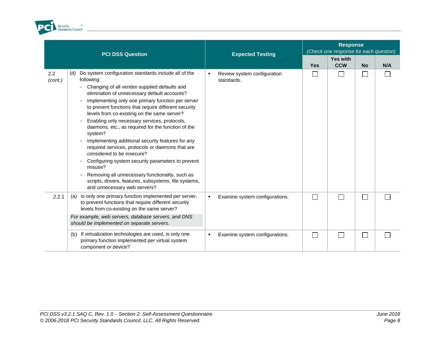

|                | <b>PCI DSS Question</b>                                                                                                                                                                                                                                                                                                                                                                                                                                                                                                                                                                                                                                                                                                                                                                                   | <b>Expected Testing</b>                   |            | <b>Response</b><br>(Check one response for each question) |              |     |
|----------------|-----------------------------------------------------------------------------------------------------------------------------------------------------------------------------------------------------------------------------------------------------------------------------------------------------------------------------------------------------------------------------------------------------------------------------------------------------------------------------------------------------------------------------------------------------------------------------------------------------------------------------------------------------------------------------------------------------------------------------------------------------------------------------------------------------------|-------------------------------------------|------------|-----------------------------------------------------------|--------------|-----|
|                |                                                                                                                                                                                                                                                                                                                                                                                                                                                                                                                                                                                                                                                                                                                                                                                                           |                                           | <b>Yes</b> | Yes with<br><b>CCW</b>                                    | <b>No</b>    | N/A |
| 2.2<br>(cont.) | Do system configuration standards include all of the<br>(d)<br>following:<br>Changing of all vendor-supplied defaults and<br>elimination of unnecessary default accounts?<br>Implementing only one primary function per server<br>to prevent functions that require different security<br>levels from co-existing on the same server?<br>Enabling only necessary services, protocols,<br>daemons, etc., as required for the function of the<br>system?<br>Implementing additional security features for any<br>required services, protocols or daemons that are<br>considered to be insecure?<br>Configuring system security parameters to prevent<br>misuse?<br>Removing all unnecessary functionality, such as<br>scripts, drivers, features, subsystems, file systems,<br>and unnecessary web servers? | Review system configuration<br>standards. |            |                                                           | П            |     |
| 2.2.1          | Is only one primary function implemented per server,<br>(a)<br>to prevent functions that require different security<br>levels from co-existing on the same server?<br>For example, web servers, database servers, and DNS<br>should be implemented on separate servers.                                                                                                                                                                                                                                                                                                                                                                                                                                                                                                                                   | Examine system configurations.            |            |                                                           | $\mathsf{L}$ |     |
|                | If virtualization technologies are used, is only one<br>(b)<br>primary function implemented per virtual system<br>component or device?                                                                                                                                                                                                                                                                                                                                                                                                                                                                                                                                                                                                                                                                    | Examine system configurations.<br>٠       |            |                                                           | $\sim$       |     |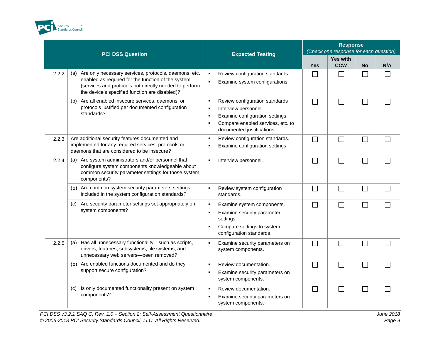

| <b>PCI DSS Question</b> |                                                                                                                                                                                                                                | <b>Expected Testing</b>                                                                                                                                                                                    | <b>Response</b><br>(Check one response for each question) |                               |                |     |
|-------------------------|--------------------------------------------------------------------------------------------------------------------------------------------------------------------------------------------------------------------------------|------------------------------------------------------------------------------------------------------------------------------------------------------------------------------------------------------------|-----------------------------------------------------------|-------------------------------|----------------|-----|
|                         |                                                                                                                                                                                                                                |                                                                                                                                                                                                            | <b>Yes</b>                                                | <b>Yes with</b><br><b>CCW</b> | <b>No</b>      | N/A |
| 2.2.2                   | Are only necessary services, protocols, daemons, etc.<br>(a)<br>enabled as required for the function of the system<br>(services and protocols not directly needed to perform<br>the device's specified function are disabled)? | Review configuration standards.<br>$\blacksquare$<br>Examine system configurations.<br>$\blacksquare$                                                                                                      | $\Box$                                                    | $\Box$                        |                |     |
|                         | Are all enabled insecure services, daemons, or<br>(b)<br>protocols justified per documented configuration<br>standards?                                                                                                        | Review configuration standards<br>$\blacksquare$<br>Interview personnel.<br>٠<br>Examine configuration settings.<br>$\blacksquare$<br>Compare enabled services, etc. to<br>٠<br>documented justifications. |                                                           | $\Box$                        | $\blacksquare$ |     |
| 2.2.3                   | Are additional security features documented and<br>implemented for any required services, protocols or<br>daemons that are considered to be insecure?                                                                          | Review configuration standards.<br>$\blacksquare$<br>Examine configuration settings.<br>٠                                                                                                                  |                                                           | П                             | $\sim$         |     |
| 2.2.4                   | Are system administrators and/or personnel that<br>(a)<br>configure system components knowledgeable about<br>common security parameter settings for those system<br>components?                                                | Interview personnel.<br>$\blacksquare$                                                                                                                                                                     |                                                           |                               |                |     |
|                         | (b) Are common system security parameters settings<br>included in the system configuration standards?                                                                                                                          | Review system configuration<br>$\blacksquare$<br>standards.                                                                                                                                                | $\Box$                                                    | П                             | $\blacksquare$ |     |
|                         | Are security parameter settings set appropriately on<br>(c)<br>system components?                                                                                                                                              | Examine system components.<br>٠<br>Examine security parameter<br>$\blacksquare$<br>settings.<br>Compare settings to system<br>٠<br>configuration standards.                                                | $\Box$                                                    | $\Box$                        | П              |     |
| 2.2.5                   | Has all unnecessary functionality-such as scripts,<br>(a)<br>drivers, features, subsystems, file systems, and<br>unnecessary web servers-been removed?                                                                         | $\blacksquare$<br>Examine security parameters on<br>system components.                                                                                                                                     |                                                           |                               |                |     |
|                         | Are enabled functions documented and do they<br>(b)<br>support secure configuration?                                                                                                                                           | $\blacksquare$<br>Review documentation.<br>Examine security parameters on<br>$\blacksquare$<br>system components.                                                                                          |                                                           |                               |                |     |
|                         | Is only documented functionality present on system<br>(c)<br>components?                                                                                                                                                       | Review documentation.<br>$\blacksquare$<br>Examine security parameters on<br>$\blacksquare$<br>system components.                                                                                          | $\Box$                                                    | $\Box$                        | $\blacksquare$ |     |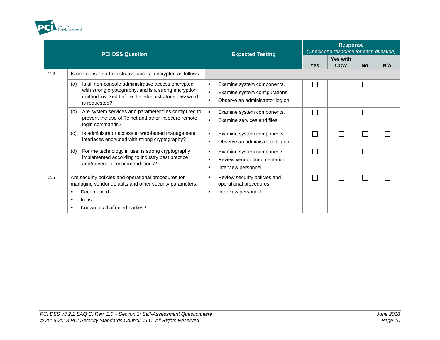

|     | <b>PCI DSS Question</b>                                                                                                                                                                  | <b>Expected Testing</b>                                                                                                      | <b>Response</b><br>(Check one response for each question) |                               |           |     |
|-----|------------------------------------------------------------------------------------------------------------------------------------------------------------------------------------------|------------------------------------------------------------------------------------------------------------------------------|-----------------------------------------------------------|-------------------------------|-----------|-----|
|     |                                                                                                                                                                                          |                                                                                                                              | <b>Yes</b>                                                | <b>Yes with</b><br><b>CCW</b> | <b>No</b> | N/A |
| 2.3 | Is non-console administrative access encrypted as follows:                                                                                                                               |                                                                                                                              |                                                           |                               |           |     |
|     | Is all non-console administrative access encrypted<br>(a)<br>with strong cryptography, and is a strong encryption<br>method invoked before the administrator's password<br>is requested? | Examine system components.<br>п<br>Examine system configurations.<br>$\blacksquare$<br>Observe an administrator log on.<br>л |                                                           |                               |           |     |
|     | Are system services and parameter files configured to<br>(b)<br>prevent the use of Telnet and other insecure remote<br>login commands?                                                   | Examine system components.<br>Examine services and files.                                                                    |                                                           |                               |           |     |
|     | Is administrator access to web-based management<br>(c)<br>interfaces encrypted with strong cryptography?                                                                                 | Examine system components.<br>п<br>Observe an administrator log on.<br>$\blacksquare$                                        |                                                           | $\Box$                        |           |     |
|     | For the technology in use, is strong cryptography<br>(d)<br>implemented according to industry best practice<br>and/or vendor recommendations?                                            | Examine system components.<br>Review vendor documentation.<br>Interview personnel.<br>л                                      | Г                                                         | $\mathcal{L}$                 |           |     |
| 2.5 | Are security policies and operational procedures for<br>managing vendor defaults and other security parameters:<br>Documented<br>In use<br>Known to all affected parties?                | Review security policies and<br>п<br>operational procedures.<br>Interview personnel.<br>л                                    |                                                           |                               |           |     |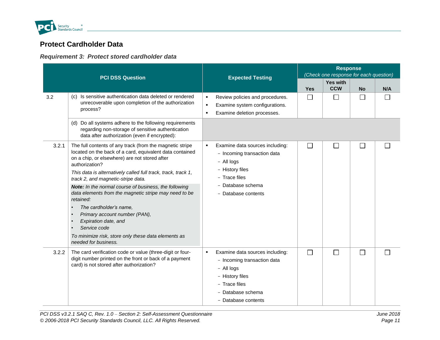

# **Protect Cardholder Data**

### *Requirement 3: Protect stored cardholder data*

<span id="page-16-1"></span><span id="page-16-0"></span>

|       |                                                                                                                                                                                         |                                                                                                                                                                                |                          | <b>Response</b><br>(Check one response for each question) |                |     |
|-------|-----------------------------------------------------------------------------------------------------------------------------------------------------------------------------------------|--------------------------------------------------------------------------------------------------------------------------------------------------------------------------------|--------------------------|-----------------------------------------------------------|----------------|-----|
|       | <b>PCI DSS Question</b>                                                                                                                                                                 | <b>Expected Testing</b>                                                                                                                                                        | <b>Yes</b>               | <b>Yes with</b><br><b>CCW</b>                             | <b>No</b>      | N/A |
| 3.2   | (c) Is sensitive authentication data deleted or rendered<br>unrecoverable upon completion of the authorization<br>process?                                                              | Review policies and procedures.<br>$\blacksquare$<br>Examine system configurations.<br>$\blacksquare$<br>Examine deletion processes.<br>$\blacksquare$                         | $\Box$                   | $\Box$                                                    | $\Box$         |     |
|       | (d) Do all systems adhere to the following requirements<br>regarding non-storage of sensitive authentication<br>data after authorization (even if encrypted):                           |                                                                                                                                                                                |                          |                                                           |                |     |
| 3.2.1 | The full contents of any track (from the magnetic stripe<br>located on the back of a card, equivalent data contained<br>on a chip, or elsewhere) are not stored after<br>authorization? | Examine data sources including:<br>$\blacksquare$<br>- Incoming transaction data<br>- All logs                                                                                 | $\mathcal{L}$            | $\mathbb{R}^n$                                            | $\mathbb{R}^n$ |     |
|       | This data is alternatively called full track, track, track 1,<br>track 2, and magnetic-stripe data.                                                                                     | - History files<br>- Trace files<br>- Database schema<br>- Database contents                                                                                                   |                          |                                                           |                |     |
|       | Note: In the normal course of business, the following<br>data elements from the magnetic stripe may need to be<br>retained:                                                             |                                                                                                                                                                                |                          |                                                           |                |     |
|       | The cardholder's name,<br>Primary account number (PAN),<br>Expiration date, and                                                                                                         |                                                                                                                                                                                |                          |                                                           |                |     |
|       | Service code<br>To minimize risk, store only these data elements as<br>needed for business.                                                                                             |                                                                                                                                                                                |                          |                                                           |                |     |
| 3.2.2 | The card verification code or value (three-digit or four-<br>digit number printed on the front or back of a payment<br>card) is not stored after authorization?                         | Examine data sources including:<br>$\blacksquare$<br>- Incoming transaction data<br>- All logs<br>- History files<br>- Trace files<br>- Database schema<br>- Database contents | $\overline{\phantom{a}}$ | $\Box$                                                    | $\Box$         |     |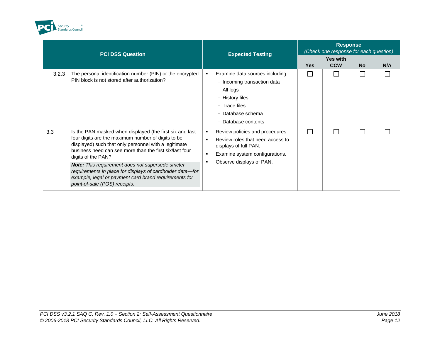

|                  | <b>PCI DSS Question</b>                                                                                                                                                                                                                                                                                                                                                                                                                                               | <b>Expected Testing</b>                                                                                                                                                                             | <b>Response</b><br>(Check one response for each question) |                        |           |     |
|------------------|-----------------------------------------------------------------------------------------------------------------------------------------------------------------------------------------------------------------------------------------------------------------------------------------------------------------------------------------------------------------------------------------------------------------------------------------------------------------------|-----------------------------------------------------------------------------------------------------------------------------------------------------------------------------------------------------|-----------------------------------------------------------|------------------------|-----------|-----|
|                  |                                                                                                                                                                                                                                                                                                                                                                                                                                                                       |                                                                                                                                                                                                     | <b>Yes</b>                                                | Yes with<br><b>CCW</b> | <b>No</b> | N/A |
| 3.2.3            | The personal identification number (PIN) or the encrypted<br>PIN block is not stored after authorization?                                                                                                                                                                                                                                                                                                                                                             | Examine data sources including:<br>٠<br>- Incoming transaction data<br>- All logs<br>- History files<br>- Trace files<br>- Database schema<br>- Database contents                                   |                                                           |                        |           |     |
| 3.3 <sub>2</sub> | Is the PAN masked when displayed (the first six and last<br>four digits are the maximum number of digits to be<br>displayed) such that only personnel with a legitimate<br>business need can see more than the first six/last four<br>digits of the PAN?<br>Note: This requirement does not supersede stricter<br>requirements in place for displays of cardholder data-for<br>example, legal or payment card brand requirements for<br>point-of-sale (POS) receipts. | Review policies and procedures.<br>٠<br>Review roles that need access to<br>$\blacksquare$<br>displays of full PAN.<br>Examine system configurations.<br>$\blacksquare$<br>Observe displays of PAN. |                                                           |                        |           |     |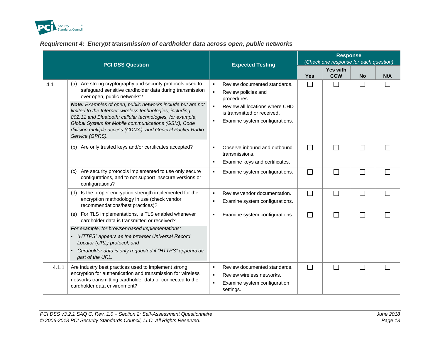

### *Requirement 4: Encrypt transmission of cardholder data across open, public networks*

<span id="page-18-0"></span>

|       | <b>PCI DSS Question</b>                                                                                                                                                                                                                                                                                                                                                                                                                                                              | <b>Expected Testing</b>                                                                                                                                                                                                     |            | <b>Response</b><br>(Check one response for each question) |           |              |
|-------|--------------------------------------------------------------------------------------------------------------------------------------------------------------------------------------------------------------------------------------------------------------------------------------------------------------------------------------------------------------------------------------------------------------------------------------------------------------------------------------|-----------------------------------------------------------------------------------------------------------------------------------------------------------------------------------------------------------------------------|------------|-----------------------------------------------------------|-----------|--------------|
|       |                                                                                                                                                                                                                                                                                                                                                                                                                                                                                      |                                                                                                                                                                                                                             | <b>Yes</b> | Yes with<br><b>CCW</b>                                    | <b>No</b> | N/A          |
| 4.1   | (a) Are strong cryptography and security protocols used to<br>safeguard sensitive cardholder data during transmission<br>over open, public networks?<br>Note: Examples of open, public networks include but are not<br>limited to the Internet; wireless technologies, including<br>802.11 and Bluetooth; cellular technologies, for example,<br>Global System for Mobile communications (GSM), Code<br>division multiple access (CDMA); and General Packet Radio<br>Service (GPRS). | Review documented standards.<br>$\blacksquare$<br>$\blacksquare$<br>Review policies and<br>procedures.<br>Review all locations where CHD<br>is transmitted or received.<br>Examine system configurations.<br>$\blacksquare$ | $\Box$     | П                                                         | $\Box$    |              |
|       | (b) Are only trusted keys and/or certificates accepted?                                                                                                                                                                                                                                                                                                                                                                                                                              | Observe inbound and outbound<br>$\blacksquare$<br>transmissions.<br>Examine keys and certificates.<br>$\blacksquare$                                                                                                        | $\Box$     | $\Box$                                                    | $\Box$    | $\Box$       |
|       | (c) Are security protocols implemented to use only secure<br>configurations, and to not support insecure versions or<br>configurations?                                                                                                                                                                                                                                                                                                                                              | Examine system configurations.<br>٠                                                                                                                                                                                         | $\Box$     | П                                                         | $\Box$    |              |
|       | Is the proper encryption strength implemented for the<br>(d)<br>encryption methodology in use (check vendor<br>recommendations/best practices)?                                                                                                                                                                                                                                                                                                                                      | Review vendor documentation.<br>$\blacksquare$<br>Examine system configurations.<br>п                                                                                                                                       | $\Box$     | $\Box$                                                    | $\Box$    | $\mathbf{L}$ |
|       | (e) For TLS implementations, is TLS enabled whenever<br>cardholder data is transmitted or received?                                                                                                                                                                                                                                                                                                                                                                                  | Examine system configurations.                                                                                                                                                                                              | $\Box$     | П                                                         | $\Box$    |              |
|       | For example, for browser-based implementations:<br>"HTTPS" appears as the browser Universal Record<br>Locator (URL) protocol, and<br>Cardholder data is only requested if "HTTPS" appears as<br>part of the URL.                                                                                                                                                                                                                                                                     |                                                                                                                                                                                                                             |            |                                                           |           |              |
| 4.1.1 | Are industry best practices used to implement strong<br>encryption for authentication and transmission for wireless<br>networks transmitting cardholder data or connected to the<br>cardholder data environment?                                                                                                                                                                                                                                                                     | Review documented standards.<br>$\blacksquare$<br>Review wireless networks.<br>$\blacksquare$<br>Examine system configuration<br>$\blacksquare$<br>settings.                                                                | $\Box$     | П                                                         | $\Box$    |              |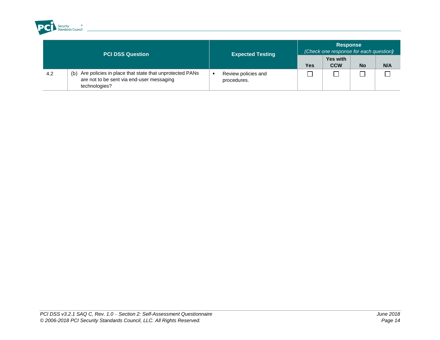

| <b>PCI DSS Question</b> |                                                                                                                             | <b>Expected Testing</b>            | <b>Response</b><br>(Check one response for each question) |                               |    |     |  |
|-------------------------|-----------------------------------------------------------------------------------------------------------------------------|------------------------------------|-----------------------------------------------------------|-------------------------------|----|-----|--|
|                         |                                                                                                                             |                                    | <b>Yes</b>                                                | <b>Yes with</b><br><b>CCW</b> | No | N/A |  |
| 4.2                     | Are policies in place that state that unprotected PANs<br>(b)<br>are not to be sent via end-user messaging<br>technologies? | Review policies and<br>procedures. |                                                           |                               |    |     |  |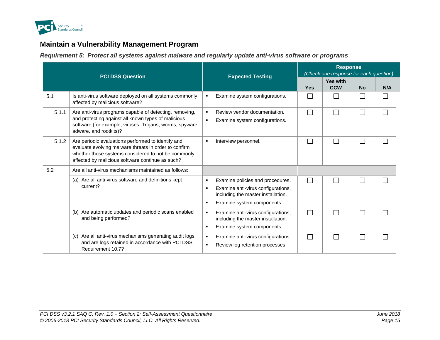

# **Maintain a Vulnerability Management Program**

*Requirement 5: Protect all systems against malware and regularly update anti-virus software or programs*

<span id="page-20-1"></span><span id="page-20-0"></span>

|       | <b>PCI DSS Question</b>                                                                                                                                                                                                | <b>Expected Testing</b>                                                                                                                                                             | <b>Response</b><br>(Check one response for each question) |                               |           |     |
|-------|------------------------------------------------------------------------------------------------------------------------------------------------------------------------------------------------------------------------|-------------------------------------------------------------------------------------------------------------------------------------------------------------------------------------|-----------------------------------------------------------|-------------------------------|-----------|-----|
|       |                                                                                                                                                                                                                        |                                                                                                                                                                                     | <b>Yes</b>                                                | <b>Yes with</b><br><b>CCW</b> | <b>No</b> | N/A |
| 5.1   | Is anti-virus software deployed on all systems commonly<br>affected by malicious software?                                                                                                                             | Examine system configurations.<br>٠                                                                                                                                                 | П                                                         | I.                            |           |     |
| 5.1.1 | Are anti-virus programs capable of detecting, removing,<br>and protecting against all known types of malicious<br>software (for example, viruses, Trojans, worms, spyware,<br>adware, and rootkits)?                   | Review vendor documentation.<br>$\blacksquare$<br>Examine system configurations.<br>$\blacksquare$                                                                                  | П                                                         | $\mathcal{L}_{\mathcal{A}}$   |           |     |
| 5.1.2 | Are periodic evaluations performed to identify and<br>evaluate evolving malware threats in order to confirm<br>whether those systems considered to not be commonly<br>affected by malicious software continue as such? | Interview personnel.<br>$\blacksquare$                                                                                                                                              | П                                                         |                               |           |     |
| 5.2   | Are all anti-virus mechanisms maintained as follows:                                                                                                                                                                   |                                                                                                                                                                                     |                                                           |                               |           |     |
|       | (a) Are all anti-virus software and definitions kept<br>current?                                                                                                                                                       | Examine policies and procedures.<br>٠<br>Examine anti-virus configurations,<br>$\blacksquare$<br>including the master installation.<br>Examine system components.<br>$\blacksquare$ | $\Box$                                                    |                               |           |     |
|       | (b) Are automatic updates and periodic scans enabled<br>and being performed?                                                                                                                                           | Examine anti-virus configurations,<br>٠<br>including the master installation.<br>Examine system components.<br>٠                                                                    | П                                                         |                               |           |     |
|       | (c) Are all anti-virus mechanisms generating audit logs,<br>and are logs retained in accordance with PCI DSS<br>Requirement 10.7?                                                                                      | Examine anti-virus configurations.<br>٠<br>Review log retention processes.<br>л.                                                                                                    | П                                                         | Г                             |           |     |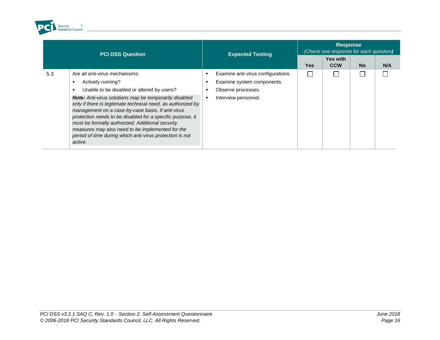

| <b>PCI DSS Question</b>                                                                                                                                                                                                                                                                                                                                                                                                                                                                                                                     | <b>Expected Testing</b>                                                                                                               | <b>Response</b><br>(Check one response for each question) |                               |           |     |
|---------------------------------------------------------------------------------------------------------------------------------------------------------------------------------------------------------------------------------------------------------------------------------------------------------------------------------------------------------------------------------------------------------------------------------------------------------------------------------------------------------------------------------------------|---------------------------------------------------------------------------------------------------------------------------------------|-----------------------------------------------------------|-------------------------------|-----------|-----|
|                                                                                                                                                                                                                                                                                                                                                                                                                                                                                                                                             |                                                                                                                                       | <b>Yes</b>                                                | <b>Yes with</b><br><b>CCW</b> | <b>No</b> | N/A |
| Are all anti-virus mechanisms:<br>5.3<br>Actively running?<br>Unable to be disabled or altered by users?<br><b>Note:</b> Anti-virus solutions may be temporarily disabled<br>only if there is legitimate technical need, as authorized by<br>management on a case-by-case basis. If anti-virus<br>protection needs to be disabled for a specific purpose, it<br>must be formally authorized. Additional security<br>measures may also need to be implemented for the<br>period of time during which anti-virus protection is not<br>active. | Examine anti-virus configurations.<br>Examine system components.<br>Observe processes.<br>п<br>Interview personnel.<br>$\blacksquare$ |                                                           |                               |           |     |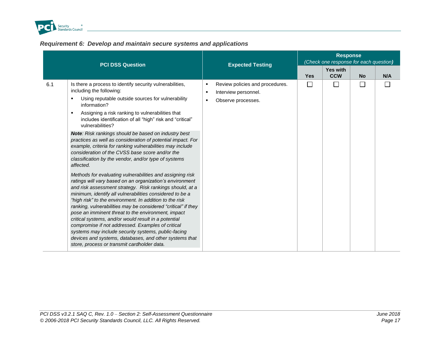

### *Requirement 6: Develop and maintain secure systems and applications*

<span id="page-22-0"></span>

| <b>PCI DSS Question</b>                                                                                                                                                                                                                                                                                                                                                                                                                                                                                                                                                                                                                                                                                                                                                                                                                                                                                                                                                                                                                                                                                                                                                                                                                                                                                                                                  | <b>Expected Testing</b>                                                                                                | <b>Response</b><br>(Check one response for each question) |                               |           |     |
|----------------------------------------------------------------------------------------------------------------------------------------------------------------------------------------------------------------------------------------------------------------------------------------------------------------------------------------------------------------------------------------------------------------------------------------------------------------------------------------------------------------------------------------------------------------------------------------------------------------------------------------------------------------------------------------------------------------------------------------------------------------------------------------------------------------------------------------------------------------------------------------------------------------------------------------------------------------------------------------------------------------------------------------------------------------------------------------------------------------------------------------------------------------------------------------------------------------------------------------------------------------------------------------------------------------------------------------------------------|------------------------------------------------------------------------------------------------------------------------|-----------------------------------------------------------|-------------------------------|-----------|-----|
|                                                                                                                                                                                                                                                                                                                                                                                                                                                                                                                                                                                                                                                                                                                                                                                                                                                                                                                                                                                                                                                                                                                                                                                                                                                                                                                                                          |                                                                                                                        | <b>Yes</b>                                                | <b>Yes with</b><br><b>CCW</b> | <b>No</b> | N/A |
| Is there a process to identify security vulnerabilities,<br>6.1<br>including the following:<br>Using reputable outside sources for vulnerability<br>٠<br>information?<br>Assigning a risk ranking to vulnerabilities that<br>$\blacksquare$<br>includes identification of all "high" risk and "critical"<br>vulnerabilities?<br>Note: Risk rankings should be based on industry best<br>practices as well as consideration of potential impact. For<br>example, criteria for ranking vulnerabilities may include<br>consideration of the CVSS base score and/or the<br>classification by the vendor, and/or type of systems<br>affected.<br>Methods for evaluating vulnerabilities and assigning risk<br>ratings will vary based on an organization's environment<br>and risk assessment strategy. Risk rankings should, at a<br>minimum, identify all vulnerabilities considered to be a<br>"high risk" to the environment. In addition to the risk<br>ranking, vulnerabilities may be considered "critical" if they<br>pose an imminent threat to the environment, impact<br>critical systems, and/or would result in a potential<br>compromise if not addressed. Examples of critical<br>systems may include security systems, public-facing<br>devices and systems, databases, and other systems that<br>store, process or transmit cardholder data. | Review policies and procedures.<br>$\blacksquare$<br>Interview personnel.<br>$\blacksquare$<br>Observe processes.<br>٠ | П                                                         | П                             |           |     |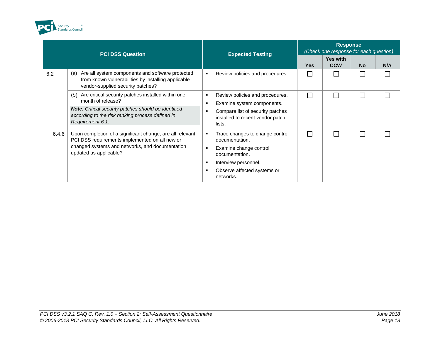

|       | <b>PCI DSS Question</b>                                                                                                                                                                                        | <b>Expected Testing</b>                                                                                                                                                                  | <b>Response</b><br>(Check one response for each question) |                               |           |     |
|-------|----------------------------------------------------------------------------------------------------------------------------------------------------------------------------------------------------------------|------------------------------------------------------------------------------------------------------------------------------------------------------------------------------------------|-----------------------------------------------------------|-------------------------------|-----------|-----|
|       |                                                                                                                                                                                                                |                                                                                                                                                                                          | <b>Yes</b>                                                | <b>Yes with</b><br><b>CCW</b> | <b>No</b> | N/A |
| 6.2   | Are all system components and software protected<br>(a)<br>from known vulnerabilities by installing applicable<br>vendor-supplied security patches?                                                            | Review policies and procedures.<br>٠                                                                                                                                                     |                                                           |                               |           |     |
|       | Are critical security patches installed within one<br>(b)<br>month of release?<br>Note: Critical security patches should be identified<br>according to the risk ranking process defined in<br>Requirement 6.1. | Review policies and procedures.<br>٠<br>Examine system components.<br>٠<br>Compare list of security patches<br>installed to recent vendor patch<br>lists.                                |                                                           |                               |           |     |
| 6.4.6 | Upon completion of a significant change, are all relevant<br>PCI DSS requirements implemented on all new or<br>changed systems and networks, and documentation<br>updated as applicable?                       | Trace changes to change control<br>٠<br>documentation.<br>Examine change control<br>documentation.<br>Interview personnel.<br>$\blacksquare$<br>Observe affected systems or<br>networks. |                                                           |                               |           |     |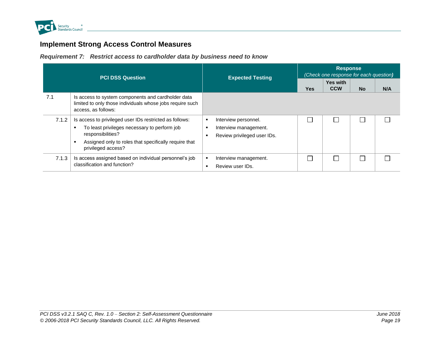

# **Implement Strong Access Control Measures**

*Requirement 7: Restrict access to cardholder data by business need to know*

<span id="page-24-1"></span><span id="page-24-0"></span>

| <b>PCI DSS Question</b> |                                                                                                                                                                                                             | <b>Expected Testing</b>                                                                | <b>Response</b><br>(Check one response for each question) |                               |           |     |
|-------------------------|-------------------------------------------------------------------------------------------------------------------------------------------------------------------------------------------------------------|----------------------------------------------------------------------------------------|-----------------------------------------------------------|-------------------------------|-----------|-----|
|                         |                                                                                                                                                                                                             |                                                                                        | <b>Yes</b>                                                | <b>Yes with</b><br><b>CCW</b> | <b>No</b> | N/A |
| 7.1                     | Is access to system components and cardholder data<br>limited to only those individuals whose jobs require such<br>access, as follows:                                                                      |                                                                                        |                                                           |                               |           |     |
| 7.1.2                   | Is access to privileged user IDs restricted as follows:<br>To least privileges necessary to perform job<br>responsibilities?<br>Assigned only to roles that specifically require that<br>privileged access? | Interview personnel.<br>٠<br>Interview management.<br>Review privileged user IDs.<br>п |                                                           |                               |           |     |
| 7.1.3                   | Is access assigned based on individual personnel's job<br>classification and function?                                                                                                                      | Interview management.<br>٠<br>Review user IDs.<br>п                                    |                                                           |                               |           |     |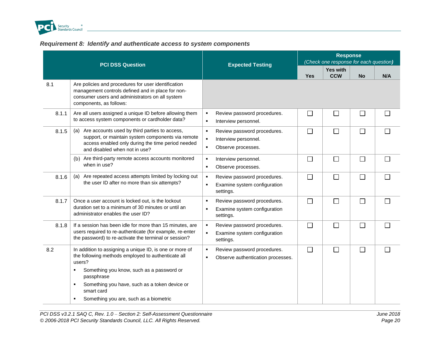

### *Requirement 8: Identify and authenticate access to system components*

<span id="page-25-0"></span>

|       | <b>PCI DSS Question</b>                                                                                                                                                                         | <b>Expected Testing</b>                                                                                                         | <b>Response</b><br>(Check one response for each question) |                               |           |              |
|-------|-------------------------------------------------------------------------------------------------------------------------------------------------------------------------------------------------|---------------------------------------------------------------------------------------------------------------------------------|-----------------------------------------------------------|-------------------------------|-----------|--------------|
|       |                                                                                                                                                                                                 |                                                                                                                                 | <b>Yes</b>                                                | <b>Yes with</b><br><b>CCW</b> | <b>No</b> | N/A          |
| 8.1   | Are policies and procedures for user identification<br>management controls defined and in place for non-<br>consumer users and administrators on all system<br>components, as follows:          |                                                                                                                                 |                                                           |                               |           |              |
| 8.1.1 | Are all users assigned a unique ID before allowing them<br>to access system components or cardholder data?                                                                                      | Review password procedures.<br>$\blacksquare$<br>$\blacksquare$<br>Interview personnel.                                         | $\Box$                                                    | $\Box$                        | $\Box$    | $\mathbf{L}$ |
| 8.1.5 | Are accounts used by third parties to access,<br>(a)<br>support, or maintain system components via remote<br>access enabled only during the time period needed<br>and disabled when not in use? | Review password procedures.<br>$\blacksquare$<br>$\blacksquare$<br>Interview personnel.<br>Observe processes.<br>$\blacksquare$ | $\Box$                                                    | $\Box$                        | $\Box$    |              |
|       | Are third-party remote access accounts monitored<br>(b)<br>when in use?                                                                                                                         | Interview personnel.<br>$\blacksquare$<br>Observe processes.<br>$\blacksquare$                                                  | $\Box$                                                    | $\Box$                        | $\Box$    |              |
| 8.1.6 | Are repeated access attempts limited by locking out<br>(a)<br>the user ID after no more than six attempts?                                                                                      | Review password procedures.<br>$\blacksquare$<br>Examine system configuration<br>$\blacksquare$<br>settings.                    | $\Box$                                                    | $\Box$                        | $\Box$    |              |
| 8.1.7 | Once a user account is locked out, is the lockout<br>duration set to a minimum of 30 minutes or until an<br>administrator enables the user ID?                                                  | Review password procedures.<br>٠<br>Examine system configuration<br>$\blacksquare$<br>settings.                                 | $\Box$                                                    | $\Box$                        | $\Box$    |              |
| 8.1.8 | If a session has been idle for more than 15 minutes, are<br>users required to re-authenticate (for example, re-enter<br>the password) to re-activate the terminal or session?                   | Review password procedures.<br>$\blacksquare$<br>Examine system configuration<br>$\blacksquare$<br>settings.                    | $\Box$                                                    | $\Box$                        | $\Box$    |              |
| 8.2   | In addition to assigning a unique ID, is one or more of<br>the following methods employed to authenticate all<br>users?                                                                         | Review password procedures.<br>$\blacksquare$<br>Observe authentication processes.<br>$\blacksquare$                            | $\Box$                                                    | $\Box$                        | $\Box$    |              |
|       | Something you know, such as a password or<br>٠<br>passphrase                                                                                                                                    |                                                                                                                                 |                                                           |                               |           |              |
|       | Something you have, such as a token device or<br>٠<br>smart card                                                                                                                                |                                                                                                                                 |                                                           |                               |           |              |
|       | Something you are, such as a biometric<br>л.                                                                                                                                                    |                                                                                                                                 |                                                           |                               |           |              |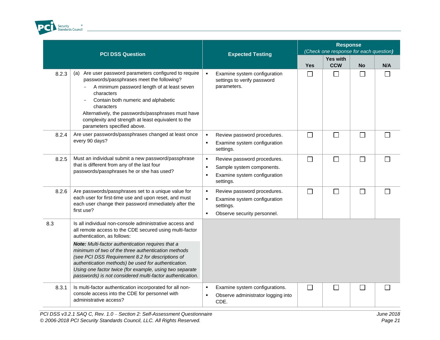

|       | <b>PCI DSS Question</b>                                                                                                                                                                                                                                                                                                                                             | <b>Expected Testing</b>                                                                                                                     | <b>Response</b><br>(Check one response for each question) |                               |                             |        |
|-------|---------------------------------------------------------------------------------------------------------------------------------------------------------------------------------------------------------------------------------------------------------------------------------------------------------------------------------------------------------------------|---------------------------------------------------------------------------------------------------------------------------------------------|-----------------------------------------------------------|-------------------------------|-----------------------------|--------|
|       |                                                                                                                                                                                                                                                                                                                                                                     |                                                                                                                                             | <b>Yes</b>                                                | <b>Yes with</b><br><b>CCW</b> | <b>No</b>                   | N/A    |
| 8.2.3 | Are user password parameters configured to require<br>(a)<br>passwords/passphrases meet the following?<br>A minimum password length of at least seven<br>characters<br>Contain both numeric and alphabetic<br>characters<br>Alternatively, the passwords/passphrases must have<br>complexity and strength at least equivalent to the<br>parameters specified above. | Examine system configuration<br>$\blacksquare$<br>settings to verify password<br>parameters.                                                | $\Box$                                                    | П                             | П                           |        |
| 8.2.4 | Are user passwords/passphrases changed at least once<br>every 90 days?                                                                                                                                                                                                                                                                                              | Review password procedures.<br>$\blacksquare$<br>Examine system configuration<br>٠<br>settings.                                             | $\Box$                                                    | П                             | $\Box$                      |        |
| 8.2.5 | Must an individual submit a new password/passphrase<br>that is different from any of the last four<br>passwords/passphrases he or she has used?                                                                                                                                                                                                                     | Review password procedures.<br>٠<br>Sample system components.<br>٠<br>Examine system configuration<br>٠<br>settings.                        | $\Box$                                                    | П                             | $\Box$                      | $\Box$ |
| 8.2.6 | Are passwords/passphrases set to a unique value for<br>each user for first-time use and upon reset, and must<br>each user change their password immediately after the<br>first use?                                                                                                                                                                                 | Review password procedures.<br>$\blacksquare$<br>Examine system configuration<br>settings.<br>Observe security personnel.<br>$\blacksquare$ | П                                                         | П                             | П                           | $\Box$ |
| 8.3   | Is all individual non-console administrative access and<br>all remote access to the CDE secured using multi-factor<br>authentication, as follows:                                                                                                                                                                                                                   |                                                                                                                                             |                                                           |                               |                             |        |
|       | Note: Multi-factor authentication requires that a<br>minimum of two of the three authentication methods<br>(see PCI DSS Requirement 8.2 for descriptions of<br>authentication methods) be used for authentication.<br>Using one factor twice (for example, using two separate<br>passwords) is not considered multi-factor authentication.                          |                                                                                                                                             |                                                           |                               |                             |        |
| 8.3.1 | Is multi-factor authentication incorporated for all non-<br>console access into the CDE for personnel with<br>administrative access?                                                                                                                                                                                                                                | Examine system configurations.<br>$\blacksquare$<br>Observe administrator logging into<br>CDE.                                              | $\Box$                                                    | ΙI                            | $\mathcal{L}_{\mathcal{A}}$ |        |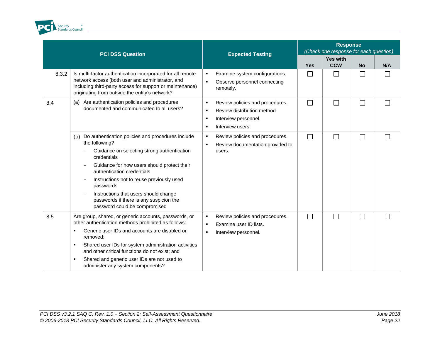

|       | <b>PCI DSS Question</b>                                                                                                                                                                                                                                                                                                                                                                                          | <b>Expected Testing</b>                                                                                                                     | <b>Response</b><br>(Check one response for each question) |                               |           |        |
|-------|------------------------------------------------------------------------------------------------------------------------------------------------------------------------------------------------------------------------------------------------------------------------------------------------------------------------------------------------------------------------------------------------------------------|---------------------------------------------------------------------------------------------------------------------------------------------|-----------------------------------------------------------|-------------------------------|-----------|--------|
|       |                                                                                                                                                                                                                                                                                                                                                                                                                  |                                                                                                                                             | <b>Yes</b>                                                | <b>Yes with</b><br><b>CCW</b> | <b>No</b> | N/A    |
| 8.3.2 | Is multi-factor authentication incorporated for all remote<br>network access (both user and administrator, and<br>including third-party access for support or maintenance)<br>originating from outside the entity's network?                                                                                                                                                                                     | Examine system configurations.<br>٠<br>$\blacksquare$<br>Observe personnel connecting<br>remotely.                                          | $\Box$                                                    | $\Box$                        | $\Box$    |        |
| 8.4   | (a) Are authentication policies and procedures<br>documented and communicated to all users?                                                                                                                                                                                                                                                                                                                      | Review policies and procedures.<br>$\blacksquare$<br>Review distribution method.<br>٠<br>Interview personnel.<br>٠<br>Interview users.<br>٠ | П                                                         | $\Box$                        | $\Box$    | $\Box$ |
|       | Do authentication policies and procedures include<br>(b)<br>the following?<br>Guidance on selecting strong authentication<br>credentials<br>Guidance for how users should protect their<br>authentication credentials<br>Instructions not to reuse previously used<br>passwords<br>Instructions that users should change<br>passwords if there is any suspicion the<br>password could be compromised             | Review policies and procedures.<br>٠<br>Review documentation provided to<br>٠<br>users.                                                     | $\Box$                                                    | П                             | $\Box$    |        |
| 8.5   | Are group, shared, or generic accounts, passwords, or<br>other authentication methods prohibited as follows:<br>Generic user IDs and accounts are disabled or<br>$\blacksquare$<br>removed:<br>Shared user IDs for system administration activities<br>٠<br>and other critical functions do not exist; and<br>Shared and generic user IDs are not used to<br>$\blacksquare$<br>administer any system components? | Review policies and procedures.<br>٠<br>Examine user ID lists.<br>$\blacksquare$<br>Interview personnel.<br>٠                               | П                                                         | П                             | $\Box$    |        |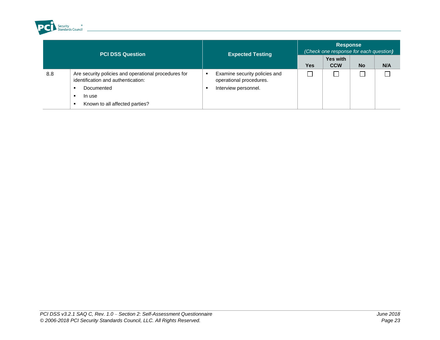

| <b>PCI DSS Question</b> |                                                                                            | <b>Expected Testing</b>                                  | <b>Response</b><br>(Check one response for each question) |                               |           |     |  |
|-------------------------|--------------------------------------------------------------------------------------------|----------------------------------------------------------|-----------------------------------------------------------|-------------------------------|-----------|-----|--|
|                         |                                                                                            |                                                          | <b>Yes</b>                                                | <b>Yes with</b><br><b>CCW</b> | <b>No</b> | N/A |  |
| 8.8                     | Are security policies and operational procedures for<br>identification and authentication: | Examine security policies and<br>operational procedures. |                                                           |                               |           |     |  |
|                         | Documented                                                                                 | Interview personnel.                                     |                                                           |                               |           |     |  |
|                         | In use                                                                                     |                                                          |                                                           |                               |           |     |  |
|                         | Known to all affected parties?                                                             |                                                          |                                                           |                               |           |     |  |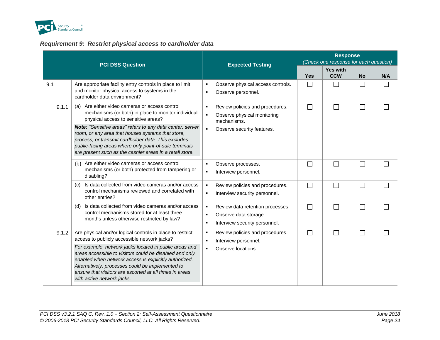

### *Requirement 9: Restrict physical access to cardholder data*

<span id="page-29-0"></span>

|       | <b>PCI DSS Question</b>                                                                                                                                                                                                                                                                                                                                                                                                                     | <b>Expected Testing</b>                                                                                                             | <b>Response</b><br>(Check one response for each question) |                               |                             |     |
|-------|---------------------------------------------------------------------------------------------------------------------------------------------------------------------------------------------------------------------------------------------------------------------------------------------------------------------------------------------------------------------------------------------------------------------------------------------|-------------------------------------------------------------------------------------------------------------------------------------|-----------------------------------------------------------|-------------------------------|-----------------------------|-----|
|       |                                                                                                                                                                                                                                                                                                                                                                                                                                             |                                                                                                                                     | <b>Yes</b>                                                | <b>Yes with</b><br><b>CCW</b> | <b>No</b>                   | N/A |
| 9.1   | Are appropriate facility entry controls in place to limit<br>and monitor physical access to systems in the<br>cardholder data environment?                                                                                                                                                                                                                                                                                                  | Observe physical access controls.<br>$\blacksquare$<br>Observe personnel.<br>٠                                                      | $\sim$                                                    |                               |                             |     |
| 9.1.1 | (a) Are either video cameras or access control<br>mechanisms (or both) in place to monitor individual<br>physical access to sensitive areas?<br>Note: "Sensitive areas" refers to any data center, server<br>room, or any area that houses systems that store,<br>process, or transmit cardholder data. This excludes<br>public-facing areas where only point-of-sale terminals<br>are present such as the cashier areas in a retail store. | Review policies and procedures.<br>٠<br>Observe physical monitoring<br>٠<br>mechanisms.<br>Observe security features.               | П                                                         | П                             | $\Box$                      |     |
|       | (b) Are either video cameras or access control<br>mechanisms (or both) protected from tampering or<br>disabling?                                                                                                                                                                                                                                                                                                                            | Observe processes.<br>$\blacksquare$<br>Interview personnel.<br>$\blacksquare$                                                      | $\overline{\phantom{a}}$                                  | $\mathbf{L}$                  | $\overline{\phantom{0}}$    |     |
|       | Is data collected from video cameras and/or access<br>(c)<br>control mechanisms reviewed and correlated with<br>other entries?                                                                                                                                                                                                                                                                                                              | Review policies and procedures.<br>٠<br>Interview security personnel.<br>×                                                          | $\Box$                                                    | L                             | $\overline{\phantom{0}}$    |     |
|       | (d) Is data collected from video cameras and/or access<br>control mechanisms stored for at least three<br>months unless otherwise restricted by law?                                                                                                                                                                                                                                                                                        | Review data retention processes.<br>$\blacksquare$<br>Observe data storage.<br>$\blacksquare$<br>Interview security personnel.<br>п | П                                                         | $\Box$                        | $\mathcal{L}_{\mathcal{A}}$ |     |
| 9.1.2 | Are physical and/or logical controls in place to restrict<br>access to publicly accessible network jacks?<br>For example, network jacks located in public areas and<br>areas accessible to visitors could be disabled and only<br>enabled when network access is explicitly authorized.<br>Alternatively, processes could be implemented to<br>ensure that visitors are escorted at all times in areas<br>with active network jacks.        | Review policies and procedures.<br>п<br>Interview personnel.<br>л<br>Observe locations.<br>$\blacksquare$                           | П                                                         |                               | M.                          |     |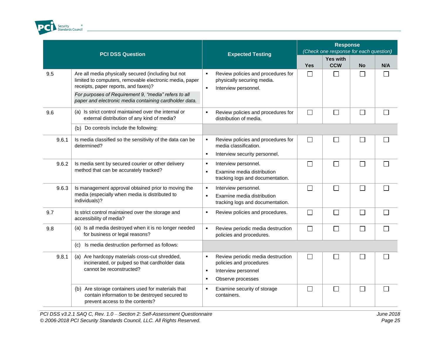

|       | <b>PCI DSS Question</b>                                                                                                                                                                                                                                                  | <b>Expected Testing</b>                                                                                                              | <b>Response</b><br>(Check one response for each question) |                               |              |     |
|-------|--------------------------------------------------------------------------------------------------------------------------------------------------------------------------------------------------------------------------------------------------------------------------|--------------------------------------------------------------------------------------------------------------------------------------|-----------------------------------------------------------|-------------------------------|--------------|-----|
|       |                                                                                                                                                                                                                                                                          |                                                                                                                                      | <b>Yes</b>                                                | <b>Yes with</b><br><b>CCW</b> | <b>No</b>    | N/A |
| 9.5   | Are all media physically secured (including but not<br>limited to computers, removable electronic media, paper<br>receipts, paper reports, and faxes)?<br>For purposes of Requirement 9, "media" refers to all<br>paper and electronic media containing cardholder data. | Review policies and procedures for<br>$\blacksquare$<br>physically securing media.<br>Interview personnel.<br>$\blacksquare$         | $\Box$                                                    | $\Box$                        | $\Box$       | П   |
| 9.6   | (a) Is strict control maintained over the internal or<br>external distribution of any kind of media?                                                                                                                                                                     | Review policies and procedures for<br>$\blacksquare$<br>distribution of media.                                                       | $\Box$                                                    | $\Box$                        | $\Box$       | ┌   |
|       | (b) Do controls include the following:                                                                                                                                                                                                                                   |                                                                                                                                      |                                                           |                               |              |     |
| 9.6.1 | Is media classified so the sensitivity of the data can be<br>determined?                                                                                                                                                                                                 | Review policies and procedures for<br>٠<br>media classification.<br>Interview security personnel.<br>٠                               | $\Box$                                                    | $\mathbb{R}^n$                | $\mathbf{L}$ |     |
| 9.6.2 | Is media sent by secured courier or other delivery<br>method that can be accurately tracked?                                                                                                                                                                             | Interview personnel.<br>$\blacksquare$<br>Examine media distribution<br>٠<br>tracking logs and documentation.                        | П                                                         | $\Box$                        | $\Box$       | ┌   |
| 9.6.3 | Is management approval obtained prior to moving the<br>media (especially when media is distributed to<br>individuals)?                                                                                                                                                   | Interview personnel.<br>$\blacksquare$<br>Examine media distribution<br>$\blacksquare$<br>tracking logs and documentation.           | $\Box$                                                    | $\Box$                        | П            | Г   |
| 9.7   | Is strict control maintained over the storage and<br>accessibility of media?                                                                                                                                                                                             | Review policies and procedures.<br>$\blacksquare$                                                                                    | $\Box$                                                    | $\Box$                        | $\Box$       | Г   |
| 9.8   | (a) Is all media destroyed when it is no longer needed<br>for business or legal reasons?                                                                                                                                                                                 | Review periodic media destruction<br>٠<br>policies and procedures.                                                                   | $\Box$                                                    | $\Box$                        | $\mathsf{L}$ |     |
|       | Is media destruction performed as follows:<br>(C)                                                                                                                                                                                                                        |                                                                                                                                      |                                                           |                               |              |     |
| 9.8.1 | (a) Are hardcopy materials cross-cut shredded,<br>incinerated, or pulped so that cardholder data<br>cannot be reconstructed?                                                                                                                                             | Review periodic media destruction<br>٠<br>policies and procedures<br>Interview personnel<br>$\blacksquare$<br>Observe processes<br>٠ | П                                                         | $\Box$                        | L.           |     |
|       | (b) Are storage containers used for materials that<br>contain information to be destroyed secured to<br>prevent access to the contents?                                                                                                                                  | Examine security of storage<br>٠<br>containers.                                                                                      | П                                                         | $\Box$                        | Г            | ┌   |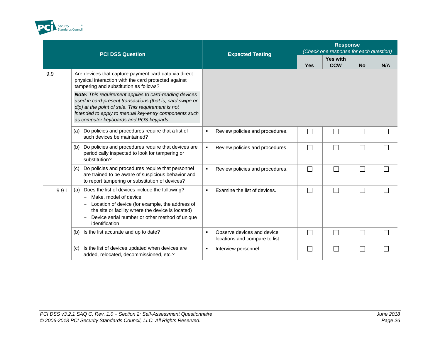

|       | <b>PCI DSS Question</b>                                                                                                                                                                                                                                                             | <b>Expected Testing</b>                                           |            | <b>Response</b><br>(Check one response for each question) |           |     |
|-------|-------------------------------------------------------------------------------------------------------------------------------------------------------------------------------------------------------------------------------------------------------------------------------------|-------------------------------------------------------------------|------------|-----------------------------------------------------------|-----------|-----|
|       |                                                                                                                                                                                                                                                                                     |                                                                   | <b>Yes</b> | <b>Yes with</b><br><b>CCW</b>                             | <b>No</b> | N/A |
| 9.9   | Are devices that capture payment card data via direct<br>physical interaction with the card protected against<br>tampering and substitution as follows?                                                                                                                             |                                                                   |            |                                                           |           |     |
|       | <b>Note:</b> This requirement applies to card-reading devices<br>used in card-present transactions (that is, card swipe or<br>dip) at the point of sale. This requirement is not<br>intended to apply to manual key-entry components such<br>as computer keyboards and POS keypads. |                                                                   |            |                                                           |           |     |
|       | Do policies and procedures require that a list of<br>(a)<br>such devices be maintained?                                                                                                                                                                                             | Review policies and procedures.<br>٠                              | $\Box$     | П                                                         | Ξ         |     |
|       | Do policies and procedures require that devices are<br>(b)<br>periodically inspected to look for tampering or<br>substitution?                                                                                                                                                      | Review policies and procedures.<br>$\blacksquare$                 | $\Box$     | $\Box$                                                    | П         |     |
|       | Do policies and procedures require that personnel<br>(c)<br>are trained to be aware of suspicious behavior and<br>to report tampering or substitution of devices?                                                                                                                   | Review policies and procedures.<br>$\blacksquare$                 | $\Box$     | $\Box$                                                    | Ξ         |     |
| 9.9.1 | Does the list of devices include the following?<br>(a)<br>Make, model of device<br>Location of device (for example, the address of<br>the site or facility where the device is located)<br>Device serial number or other method of unique<br>identification                         | Examine the list of devices.<br>٠                                 | $\Box$     | П                                                         |           |     |
|       | Is the list accurate and up to date?<br>(b)                                                                                                                                                                                                                                         | Observe devices and device<br>٠<br>locations and compare to list. | $\Box$     | $\Box$                                                    |           |     |
|       | Is the list of devices updated when devices are<br>(c)<br>added, relocated, decommissioned, etc.?                                                                                                                                                                                   | Interview personnel.<br>$\blacksquare$                            | $\Box$     | $\Box$                                                    |           |     |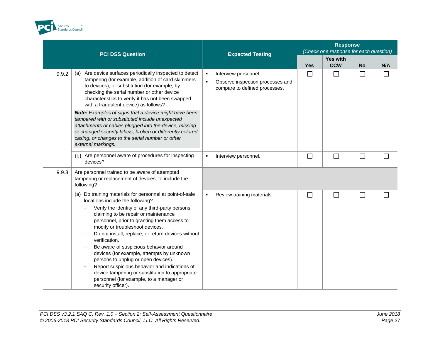

|       | <b>PCI DSS Question</b>                                                                                                                                                                                                                                                                                                                                                                                                                                                                                                                                                                                                                            |                        | <b>Expected Testing</b>                                                                   |        | <b>Response</b><br>(Check one response for each question) |           |                          |  |
|-------|----------------------------------------------------------------------------------------------------------------------------------------------------------------------------------------------------------------------------------------------------------------------------------------------------------------------------------------------------------------------------------------------------------------------------------------------------------------------------------------------------------------------------------------------------------------------------------------------------------------------------------------------------|------------------------|-------------------------------------------------------------------------------------------|--------|-----------------------------------------------------------|-----------|--------------------------|--|
|       |                                                                                                                                                                                                                                                                                                                                                                                                                                                                                                                                                                                                                                                    |                        |                                                                                           |        | Yes with<br><b>CCW</b>                                    | <b>No</b> | N/A                      |  |
| 9.9.2 | Are device surfaces periodically inspected to detect<br>(a)<br>tampering (for example, addition of card skimmers<br>to devices), or substitution (for example, by<br>checking the serial number or other device<br>characteristics to verify it has not been swapped<br>with a fraudulent device) as follows?<br>Note: Examples of signs that a device might have been                                                                                                                                                                                                                                                                             | $\bullet$<br>$\bullet$ | Interview personnel.<br>Observe inspection processes and<br>compare to defined processes. | $\Box$ | П                                                         | $\Box$    |                          |  |
|       | tampered with or substituted include unexpected<br>attachments or cables plugged into the device, missing<br>or changed security labels, broken or differently colored<br>casing, or changes to the serial number or other<br>external markings.                                                                                                                                                                                                                                                                                                                                                                                                   |                        |                                                                                           |        |                                                           |           |                          |  |
|       | (b) Are personnel aware of procedures for inspecting<br>devices?                                                                                                                                                                                                                                                                                                                                                                                                                                                                                                                                                                                   | $\blacksquare$         | Interview personnel.                                                                      | J.     | $\Box$                                                    |           |                          |  |
| 9.9.3 | Are personnel trained to be aware of attempted<br>tampering or replacement of devices, to include the<br>following?                                                                                                                                                                                                                                                                                                                                                                                                                                                                                                                                |                        |                                                                                           |        |                                                           |           |                          |  |
|       | (a) Do training materials for personnel at point-of-sale<br>locations include the following?<br>Verify the identity of any third-party persons<br>claiming to be repair or maintenance<br>personnel, prior to granting them access to<br>modify or troubleshoot devices.<br>Do not install, replace, or return devices without<br>verification.<br>Be aware of suspicious behavior around<br>devices (for example, attempts by unknown<br>persons to unplug or open devices).<br>Report suspicious behavior and indications of<br>device tampering or substitution to appropriate<br>personnel (for example, to a manager or<br>security officer). | $\blacksquare$         | Review training materials.                                                                | $\sim$ | П                                                         | $\Box$    | $\overline{\phantom{a}}$ |  |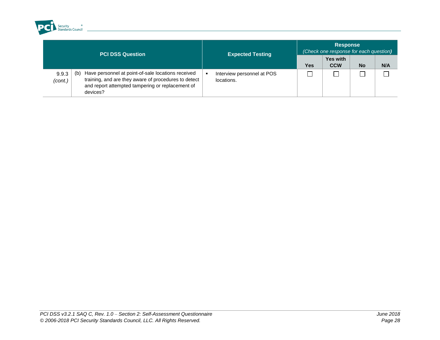

| <b>PCI DSS Question</b> |                                                                                                                                                                                   | <b>Expected Testing</b>                       | <b>Response</b><br>(Check one response for each question) |                               |           |     |  |
|-------------------------|-----------------------------------------------------------------------------------------------------------------------------------------------------------------------------------|-----------------------------------------------|-----------------------------------------------------------|-------------------------------|-----------|-----|--|
|                         |                                                                                                                                                                                   |                                               | Yes                                                       | <b>Yes with</b><br><b>CCW</b> | <b>No</b> | N/A |  |
| 9.9.3<br>(cont.)        | Have personnel at point-of-sale locations received<br>(b)<br>training, and are they aware of procedures to detect<br>and report attempted tampering or replacement of<br>devices? | Interview personnel at POS<br>×<br>locations. |                                                           |                               |           |     |  |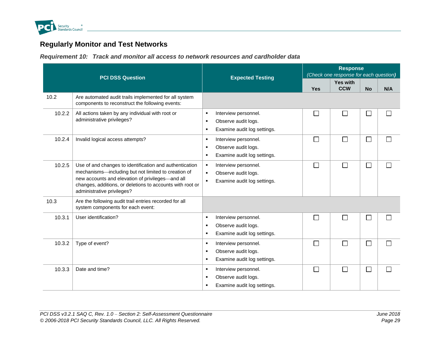

# **Regularly Monitor and Test Networks**

*Requirement 10: Track and monitor all access to network resources and cardholder data*

<span id="page-34-1"></span><span id="page-34-0"></span>

|        | <b>PCI DSS Question</b>                                                                                                                                                                                                                                       | <b>Expected Testing</b>                                                                                                          | <b>Response</b><br>(Check one response for each question) |                        |                             |     |  |
|--------|---------------------------------------------------------------------------------------------------------------------------------------------------------------------------------------------------------------------------------------------------------------|----------------------------------------------------------------------------------------------------------------------------------|-----------------------------------------------------------|------------------------|-----------------------------|-----|--|
|        |                                                                                                                                                                                                                                                               |                                                                                                                                  | <b>Yes</b>                                                | Yes with<br><b>CCW</b> | <b>No</b>                   | N/A |  |
| 10.2   | Are automated audit trails implemented for all system<br>components to reconstruct the following events:                                                                                                                                                      |                                                                                                                                  |                                                           |                        |                             |     |  |
| 10.2.2 | All actions taken by any individual with root or<br>administrative privileges?                                                                                                                                                                                | Interview personnel.<br>٠<br>Observe audit logs.<br>٠<br>Examine audit log settings.<br>٠                                        | $\mathsf{L}$                                              | $\sim$                 | $\sim$                      |     |  |
| 10.2.4 | Invalid logical access attempts?                                                                                                                                                                                                                              | Interview personnel.<br>$\blacksquare$<br>Observe audit logs.<br>٠<br>Examine audit log settings.<br>٠                           | П                                                         | П                      | □                           |     |  |
| 10.2.5 | Use of and changes to identification and authentication<br>mechanisms-including but not limited to creation of<br>new accounts and elevation of privileges-and all<br>changes, additions, or deletions to accounts with root or<br>administrative privileges? | Interview personnel.<br>$\blacksquare$<br>Observe audit logs.<br>$\blacksquare$<br>Examine audit log settings.<br>$\blacksquare$ | П                                                         | Г                      | T,                          |     |  |
| 10.3   | Are the following audit trail entries recorded for all<br>system components for each event:                                                                                                                                                                   |                                                                                                                                  |                                                           |                        |                             |     |  |
| 10.3.1 | User identification?                                                                                                                                                                                                                                          | Interview personnel.<br>$\blacksquare$<br>Observe audit logs.<br>٠<br>Examine audit log settings.<br>٠                           | П                                                         | Г                      | $\sim$                      |     |  |
| 10.3.2 | Type of event?                                                                                                                                                                                                                                                | Interview personnel.<br>$\blacksquare$<br>Observe audit logs.<br>٠<br>Examine audit log settings.<br>٠                           | П                                                         | Г                      | $\mathcal{L}_{\mathcal{A}}$ |     |  |
| 10.3.3 | Date and time?                                                                                                                                                                                                                                                | Interview personnel.<br>٠<br>Observe audit logs.<br>٠<br>Examine audit log settings.<br>п                                        | П                                                         | ┌                      | $\Box$                      |     |  |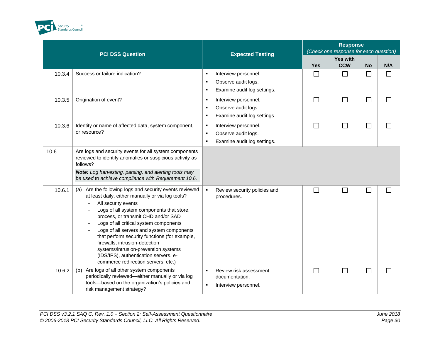

|        | <b>PCI DSS Question</b>                                                                                                                                                                                                                                                                                                                                                                                                                                                                                                   | <b>Expected Testing</b>                                                                                             | <b>Response</b><br>(Check one response for each question) |                               |                          |     |
|--------|---------------------------------------------------------------------------------------------------------------------------------------------------------------------------------------------------------------------------------------------------------------------------------------------------------------------------------------------------------------------------------------------------------------------------------------------------------------------------------------------------------------------------|---------------------------------------------------------------------------------------------------------------------|-----------------------------------------------------------|-------------------------------|--------------------------|-----|
|        |                                                                                                                                                                                                                                                                                                                                                                                                                                                                                                                           |                                                                                                                     | <b>Yes</b>                                                | <b>Yes with</b><br><b>CCW</b> | <b>No</b>                | N/A |
| 10.3.4 | Success or failure indication?                                                                                                                                                                                                                                                                                                                                                                                                                                                                                            | Interview personnel.<br>٠<br>Observe audit logs.<br>٠<br>Examine audit log settings.<br>$\blacksquare$              | $\Box$                                                    | $\Box$                        | k.                       |     |
| 10.3.5 | Origination of event?                                                                                                                                                                                                                                                                                                                                                                                                                                                                                                     | Interview personnel.<br>٠<br>Observe audit logs.<br>٠<br>Examine audit log settings.<br>٠                           | $\Box$                                                    | $\Box$                        | $\overline{\phantom{a}}$ |     |
| 10.3.6 | Identity or name of affected data, system component,<br>or resource?                                                                                                                                                                                                                                                                                                                                                                                                                                                      | Interview personnel.<br>$\blacksquare$<br>Observe audit logs.<br>$\blacksquare$<br>Examine audit log settings.<br>٠ | $\Box$                                                    | $\Box$                        | $\Box$                   |     |
| 10.6   | Are logs and security events for all system components<br>reviewed to identify anomalies or suspicious activity as<br>follows?<br>Note: Log harvesting, parsing, and alerting tools may<br>be used to achieve compliance with Requirement 10.6.                                                                                                                                                                                                                                                                           |                                                                                                                     |                                                           |                               |                          |     |
| 10.6.1 | (a) Are the following logs and security events reviewed<br>at least daily, either manually or via log tools?<br>All security events<br>Logs of all system components that store,<br>process, or transmit CHD and/or SAD<br>Logs of all critical system components<br>Logs of all servers and system components<br>that perform security functions (for example,<br>firewalls, intrusion-detection<br>systems/intrusion-prevention systems<br>(IDS/IPS), authentication servers, e-<br>commerce redirection servers, etc.) | $\bullet$<br>Review security policies and<br>procedures.                                                            | $\Box$                                                    | $\overline{\phantom{0}}$      | ×                        |     |
| 10.6.2 | Are logs of all other system components<br>(b)<br>periodically reviewed-either manually or via log<br>tools-based on the organization's policies and<br>risk management strategy?                                                                                                                                                                                                                                                                                                                                         | Review risk assessment<br>٠<br>documentation.<br>Interview personnel.<br>٠                                          | $\Box$                                                    | П                             | $\Box$                   |     |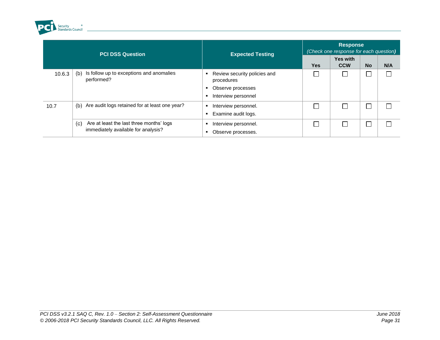

| <b>PCI DSS Question</b> |                                                                                                              | <b>Expected Testing</b>                     | <b>Response</b><br>(Check one response for each question) |                               |           |     |  |
|-------------------------|--------------------------------------------------------------------------------------------------------------|---------------------------------------------|-----------------------------------------------------------|-------------------------------|-----------|-----|--|
|                         |                                                                                                              |                                             | <b>Yes</b>                                                | <b>Yes with</b><br><b>CCW</b> | <b>No</b> | N/A |  |
| 10.6.3                  | Is follow up to exceptions and anomalies<br>(b)<br>performed?                                                | Review security policies and<br>procedures  |                                                           |                               |           |     |  |
|                         |                                                                                                              | Observe processes<br>Interview personnel    |                                                           |                               |           |     |  |
| 10.7                    | Are audit logs retained for at least one year?<br>(b)                                                        | Interview personnel.<br>Examine audit logs. |                                                           |                               |           |     |  |
|                         | Are at least the last three months' logs<br>$\mathcal{L}(\mathbf{C})$<br>immediately available for analysis? | Interview personnel.<br>Observe processes.  |                                                           |                               |           |     |  |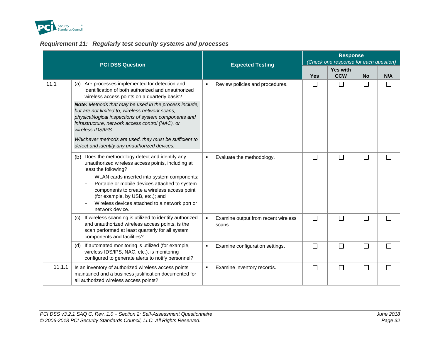

<span id="page-37-0"></span>

|        | <b>PCI DSS Question</b>                                                                                                                                                                                                                                                                                                                                                                                                                                                                                         | <b>Expected Testing</b>                                         | <b>Response</b><br>(Check one response for each question) |                               |           |     |  |
|--------|-----------------------------------------------------------------------------------------------------------------------------------------------------------------------------------------------------------------------------------------------------------------------------------------------------------------------------------------------------------------------------------------------------------------------------------------------------------------------------------------------------------------|-----------------------------------------------------------------|-----------------------------------------------------------|-------------------------------|-----------|-----|--|
|        |                                                                                                                                                                                                                                                                                                                                                                                                                                                                                                                 |                                                                 | <b>Yes</b>                                                | <b>Yes with</b><br><b>CCW</b> | <b>No</b> | N/A |  |
| 11.1   | (a) Are processes implemented for detection and<br>identification of both authorized and unauthorized<br>wireless access points on a quarterly basis?<br>Note: Methods that may be used in the process include,<br>but are not limited to, wireless network scans,<br>physical/logical inspections of system components and<br>infrastructure, network access control (NAC), or<br>wireless IDS/IPS.<br>Whichever methods are used, they must be sufficient to<br>detect and identify any unauthorized devices. | Review policies and procedures.<br>$\blacksquare$               | $\Box$                                                    | П                             | □         | M.  |  |
|        | Does the methodology detect and identify any<br>(b)<br>unauthorized wireless access points, including at<br>least the following?<br>WLAN cards inserted into system components;<br>Portable or mobile devices attached to system<br>components to create a wireless access point<br>(for example, by USB, etc.); and<br>Wireless devices attached to a network port or<br>network device.                                                                                                                       | Evaluate the methodology.<br>٠                                  | $\Box$                                                    | $\Box$                        | $\Box$    |     |  |
|        | If wireless scanning is utilized to identify authorized<br>(C)<br>and unauthorized wireless access points, is the<br>scan performed at least quarterly for all system<br>components and facilities?                                                                                                                                                                                                                                                                                                             | Examine output from recent wireless<br>$\blacksquare$<br>scans. | $\Box$                                                    | $\Box$                        | $\Box$    |     |  |
|        | If automated monitoring is utilized (for example,<br>(d)<br>wireless IDS/IPS, NAC, etc.), is monitoring<br>configured to generate alerts to notify personnel?                                                                                                                                                                                                                                                                                                                                                   | Examine configuration settings.<br>٠                            | $\Box$                                                    | $\Box$                        | $\Box$    |     |  |
| 11.1.1 | Is an inventory of authorized wireless access points<br>maintained and a business justification documented for<br>all authorized wireless access points?                                                                                                                                                                                                                                                                                                                                                        | Examine inventory records.<br>$\blacksquare$                    | $\Box$                                                    | $\Box$                        | $\Box$    |     |  |

# *Requirement 11: Regularly test security systems and processes*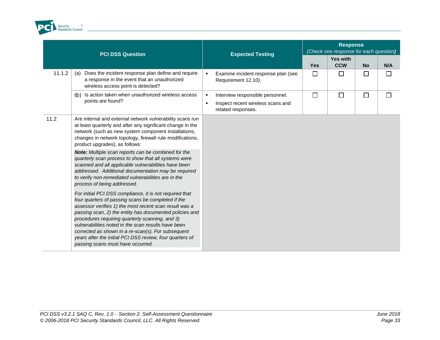

|        | <b>PCI DSS Question</b>                                                                                                                                                                                                                                                                                                                                                                                                                                                                                                                                                                                                                                                                                                                                                                                                                                                                                                                                                                                                                                                                                   | <b>Expected Testing</b>                                                                                                         | <b>Response</b><br>(Check one response for each question) |                        |           |     |  |
|--------|-----------------------------------------------------------------------------------------------------------------------------------------------------------------------------------------------------------------------------------------------------------------------------------------------------------------------------------------------------------------------------------------------------------------------------------------------------------------------------------------------------------------------------------------------------------------------------------------------------------------------------------------------------------------------------------------------------------------------------------------------------------------------------------------------------------------------------------------------------------------------------------------------------------------------------------------------------------------------------------------------------------------------------------------------------------------------------------------------------------|---------------------------------------------------------------------------------------------------------------------------------|-----------------------------------------------------------|------------------------|-----------|-----|--|
|        |                                                                                                                                                                                                                                                                                                                                                                                                                                                                                                                                                                                                                                                                                                                                                                                                                                                                                                                                                                                                                                                                                                           |                                                                                                                                 | <b>Yes</b>                                                | Yes with<br><b>CCW</b> | <b>No</b> | N/A |  |
| 11.1.2 | Does the incident response plan define and require<br>(a)<br>a response in the event that an unauthorized<br>wireless access point is detected?                                                                                                                                                                                                                                                                                                                                                                                                                                                                                                                                                                                                                                                                                                                                                                                                                                                                                                                                                           | Examine incident response plan (see<br>٠<br>Requirement 12.10).                                                                 | $\Box$                                                    | $\Box$                 | $\Box$    |     |  |
|        | Is action taken when unauthorized wireless access<br>(b)<br>points are found?                                                                                                                                                                                                                                                                                                                                                                                                                                                                                                                                                                                                                                                                                                                                                                                                                                                                                                                                                                                                                             | Interview responsible personnel.<br>$\blacksquare$<br>Inspect recent wireless scans and<br>$\blacksquare$<br>related responses. | $\Box$                                                    | $\Box$                 | $\Box$    |     |  |
| 11.2   | Are internal and external network vulnerability scans run<br>at least quarterly and after any significant change in the<br>network (such as new system component installations,<br>changes in network topology, firewall rule modifications,<br>product upgrades), as follows:<br>Note: Multiple scan reports can be combined for the<br>quarterly scan process to show that all systems were<br>scanned and all applicable vulnerabilities have been<br>addressed. Additional documentation may be required<br>to verify non-remediated vulnerabilities are in the<br>process of being addressed.<br>For initial PCI DSS compliance, it is not required that<br>four quarters of passing scans be completed if the<br>assessor verifies 1) the most recent scan result was a<br>passing scan, 2) the entity has documented policies and<br>procedures requiring quarterly scanning, and 3)<br>vulnerabilities noted in the scan results have been<br>corrected as shown in a re-scan(s). For subsequent<br>years after the initial PCI DSS review, four quarters of<br>passing scans must have occurred. |                                                                                                                                 |                                                           |                        |           |     |  |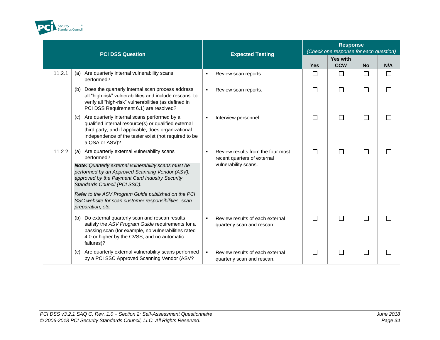

|        | <b>PCI DSS Question</b>                                                                                                                                                                                                                     | <b>Expected Testing</b>                                                                                    | <b>Response</b><br>(Check one response for each question) |                               |                          |     |  |
|--------|---------------------------------------------------------------------------------------------------------------------------------------------------------------------------------------------------------------------------------------------|------------------------------------------------------------------------------------------------------------|-----------------------------------------------------------|-------------------------------|--------------------------|-----|--|
|        |                                                                                                                                                                                                                                             |                                                                                                            | <b>Yes</b>                                                | <b>Yes with</b><br><b>CCW</b> | <b>No</b>                | N/A |  |
| 11.2.1 | Are quarterly internal vulnerability scans<br>(a)<br>performed?                                                                                                                                                                             | Review scan reports.<br>٠                                                                                  | $\Box$                                                    | $\perp$                       | $\Box$                   |     |  |
|        | Does the quarterly internal scan process address<br>(b)<br>all "high risk" vulnerabilities and include rescans to<br>verify all "high-risk" vulnerabilities (as defined in<br>PCI DSS Requirement 6.1) are resolved?                        | Review scan reports.<br>$\blacksquare$                                                                     | $\Box$                                                    | $\Box$                        | $\Box$                   |     |  |
|        | Are quarterly internal scans performed by a<br>(c)<br>qualified internal resource(s) or qualified external<br>third party, and if applicable, does organizational<br>independence of the tester exist (not required to be<br>a QSA or ASV)? | Interview personnel.<br>٠                                                                                  | $\Box$                                                    | $\Box$                        | $\Box$                   |     |  |
| 11.2.2 | Are quarterly external vulnerability scans<br>(a)<br>performed?<br>Note: Quarterly external vulnerability scans must be<br>performed by an Approved Scanning Vendor (ASV),                                                                  | Review results from the four most<br>$\blacksquare$<br>recent quarters of external<br>vulnerability scans. | $\Box$                                                    | П                             | $\overline{\phantom{a}}$ |     |  |
|        | approved by the Payment Card Industry Security<br>Standards Council (PCI SSC).<br>Refer to the ASV Program Guide published on the PCI<br>SSC website for scan customer responsibilities, scan<br>preparation, etc.                          |                                                                                                            |                                                           |                               |                          |     |  |
|        | Do external quarterly scan and rescan results<br>(b)<br>satisfy the ASV Program Guide requirements for a<br>passing scan (for example, no vulnerabilities rated<br>4.0 or higher by the CVSS, and no automatic<br>failures)?                | $\blacksquare$<br>Review results of each external<br>quarterly scan and rescan.                            | $\Box$                                                    | $\Box$                        | $\Box$                   |     |  |
|        | Are quarterly external vulnerability scans performed<br>(c)<br>by a PCI SSC Approved Scanning Vendor (ASV?                                                                                                                                  | $\bullet$<br>Review results of each external<br>quarterly scan and rescan.                                 | $\Box$                                                    |                               | $\Box$                   |     |  |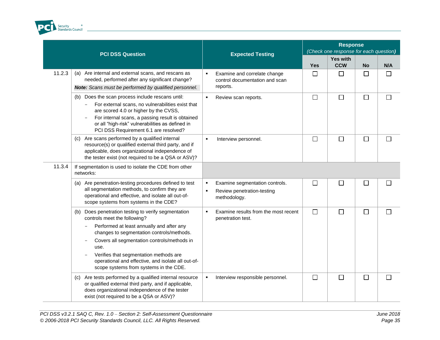

|        | <b>PCI DSS Question</b>                                                                                                                                                                                                                                                                                                                                                           | <b>Expected Testing</b>                                                                             | <b>Response</b><br>(Check one response for each question) |                               |           |         |  |
|--------|-----------------------------------------------------------------------------------------------------------------------------------------------------------------------------------------------------------------------------------------------------------------------------------------------------------------------------------------------------------------------------------|-----------------------------------------------------------------------------------------------------|-----------------------------------------------------------|-------------------------------|-----------|---------|--|
|        |                                                                                                                                                                                                                                                                                                                                                                                   |                                                                                                     | <b>Yes</b>                                                | <b>Yes with</b><br><b>CCW</b> | <b>No</b> | N/A     |  |
| 11.2.3 | (a) Are internal and external scans, and rescans as<br>needed, performed after any significant change?<br>Note: Scans must be performed by qualified personnel.                                                                                                                                                                                                                   | Examine and correlate change<br>٠<br>control documentation and scan<br>reports.                     | $\Box$                                                    | $\Box$                        | $\Box$    |         |  |
|        | Does the scan process include rescans until:<br>(b)<br>For external scans, no vulnerabilities exist that<br>are scored 4.0 or higher by the CVSS,<br>For internal scans, a passing result is obtained<br>or all "high-risk" vulnerabilities as defined in<br>PCI DSS Requirement 6.1 are resolved?                                                                                | $\blacksquare$<br>Review scan reports.                                                              | $\Box$                                                    | $\Box$                        | □         | $\perp$ |  |
|        | (c) Are scans performed by a qualified internal<br>resource(s) or qualified external third party, and if<br>applicable, does organizational independence of<br>the tester exist (not required to be a QSA or ASV)?                                                                                                                                                                | $\blacksquare$<br>Interview personnel.                                                              | $\Box$                                                    | $\Box$                        | $\Box$    |         |  |
| 11.3.4 | If segmentation is used to isolate the CDE from other<br>networks:                                                                                                                                                                                                                                                                                                                |                                                                                                     |                                                           |                               |           |         |  |
|        | (a) Are penetration-testing procedures defined to test<br>all segmentation methods, to confirm they are<br>operational and effective, and isolate all out-of-<br>scope systems from systems in the CDE?                                                                                                                                                                           | Examine segmentation controls.<br>٠<br>Review penetration-testing<br>$\blacksquare$<br>methodology. | $\Box$                                                    | $\Box$                        | $\Box$    | П       |  |
|        | Does penetration testing to verify segmentation<br>(b)<br>controls meet the following?<br>Performed at least annually and after any<br>changes to segmentation controls/methods.<br>Covers all segmentation controls/methods in<br>use.<br>Verifies that segmentation methods are<br>operational and effective, and isolate all out-of-<br>scope systems from systems in the CDE. | Examine results from the most recent<br>٠<br>penetration test.                                      | $\Box$                                                    | П                             | $\Box$    |         |  |
|        | (c) Are tests performed by a qualified internal resource<br>or qualified external third party, and if applicable,<br>does organizational independence of the tester<br>exist (not required to be a QSA or ASV)?                                                                                                                                                                   | Interview responsible personnel.<br>$\blacksquare$                                                  | $\Box$                                                    | $\Box$                        | $\Box$    |         |  |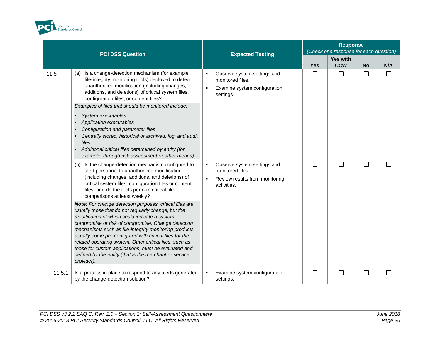

|        | <b>PCI DSS Question</b>                                                                                                                                                                                                                                                                                                                                                                                                                                                                                                                                                                    | <b>Expected Testing</b>                                                                                                          | <b>Response</b><br>(Check one response for each question) |                               |           |        |  |
|--------|--------------------------------------------------------------------------------------------------------------------------------------------------------------------------------------------------------------------------------------------------------------------------------------------------------------------------------------------------------------------------------------------------------------------------------------------------------------------------------------------------------------------------------------------------------------------------------------------|----------------------------------------------------------------------------------------------------------------------------------|-----------------------------------------------------------|-------------------------------|-----------|--------|--|
|        |                                                                                                                                                                                                                                                                                                                                                                                                                                                                                                                                                                                            |                                                                                                                                  | <b>Yes</b>                                                | <b>Yes with</b><br><b>CCW</b> | <b>No</b> | N/A    |  |
| 11.5   | Is a change-detection mechanism (for example,<br>(a)<br>file-integrity monitoring tools) deployed to detect<br>unauthorized modification (including changes,<br>additions, and deletions) of critical system files,<br>configuration files, or content files?<br>Examples of files that should be monitored include:<br>System executables<br>Application executables<br>Configuration and parameter files<br>Centrally stored, historical or archived, log, and audit<br>files<br>Additional critical files determined by entity (for<br>example, through risk assessment or other means) | Observe system settings and<br>$\blacksquare$<br>monitored files.<br>Examine system configuration<br>$\blacksquare$<br>settings. | $\Box$                                                    | $\Box$                        | $\Box$    | $\Box$ |  |
|        | (b) Is the change-detection mechanism configured to<br>alert personnel to unauthorized modification<br>(including changes, additions, and deletions) of<br>critical system files, configuration files or content<br>files, and do the tools perform critical file<br>comparisons at least weekly?                                                                                                                                                                                                                                                                                          | Observe system settings and<br>٠<br>monitored files.<br>Review results from monitoring<br>$\blacksquare$<br>activities.          | $\Box$                                                    | $\Box$                        | $\Box$    | ΙI     |  |
|        | Note: For change detection purposes, critical files are<br>usually those that do not regularly change, but the<br>modification of which could indicate a system<br>compromise or risk of compromise. Change detection<br>mechanisms such as file-integrity monitoring products<br>usually come pre-configured with critical files for the<br>related operating system. Other critical files, such as<br>those for custom applications, must be evaluated and<br>defined by the entity (that is the merchant or service<br>provider).                                                       |                                                                                                                                  |                                                           |                               |           |        |  |
| 11.5.1 | Is a process in place to respond to any alerts generated<br>by the change-detection solution?                                                                                                                                                                                                                                                                                                                                                                                                                                                                                              | Examine system configuration<br>$\blacksquare$<br>settings.                                                                      | $\Box$                                                    | $\Box$                        | $\Box$    | П      |  |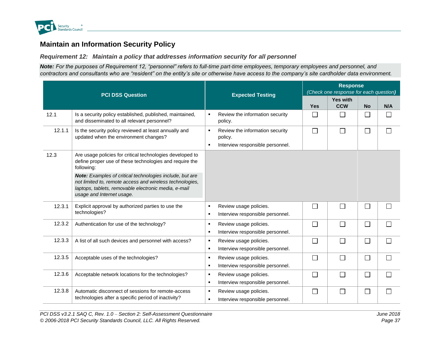

# **Maintain an Information Security Policy**

*Requirement 12: Maintain a policy that addresses information security for all personnel*

*Note: For the purposes of Requirement 12, "personnel" refers to full-time part-time employees, temporary employees and personnel, and contractors and consultants who are "resident" on the entity's site or otherwise have access to the company's site cardholder data environment.*

<span id="page-42-1"></span><span id="page-42-0"></span>

|        | <b>PCI DSS Question</b>                                                                                                                                                                                   |                                  | <b>Expected Testing</b>                                                        |              | <b>Response</b><br>(Check one response for each question) |           |     |  |  |
|--------|-----------------------------------------------------------------------------------------------------------------------------------------------------------------------------------------------------------|----------------------------------|--------------------------------------------------------------------------------|--------------|-----------------------------------------------------------|-----------|-----|--|--|
|        |                                                                                                                                                                                                           |                                  |                                                                                | <b>Yes</b>   | <b>Yes with</b><br><b>CCW</b>                             | <b>No</b> | N/A |  |  |
| 12.1   | Is a security policy established, published, maintained,<br>and disseminated to all relevant personnel?                                                                                                   |                                  | Review the information security<br>policy.                                     |              | $\vert \ \ \vert$                                         | $\Box$    |     |  |  |
| 12.1.1 | Is the security policy reviewed at least annually and<br>updated when the environment changes?                                                                                                            | л.                               | Review the information security<br>policy.<br>Interview responsible personnel. |              | $\Box$                                                    | $\Box$    |     |  |  |
| 12.3   | Are usage policies for critical technologies developed to<br>define proper use of these technologies and require the<br>following:                                                                        |                                  |                                                                                |              |                                                           |           |     |  |  |
|        | Note: Examples of critical technologies include, but are<br>not limited to, remote access and wireless technologies,<br>laptops, tablets, removable electronic media, e-mail<br>usage and Internet usage. |                                  |                                                                                |              |                                                           |           |     |  |  |
| 12.3.1 | Explicit approval by authorized parties to use the<br>technologies?                                                                                                                                       | $\blacksquare$                   | Review usage policies.<br>Interview responsible personnel.                     | $\mathbf{L}$ | П                                                         | $\Box$    |     |  |  |
| 12.3.2 | Authentication for use of the technology?                                                                                                                                                                 | $\blacksquare$<br>٠              | Review usage policies.<br>Interview responsible personnel.                     | Г            | $\Box$                                                    | $\Box$    |     |  |  |
| 12.3.3 | A list of all such devices and personnel with access?                                                                                                                                                     | $\blacksquare$<br>$\blacksquare$ | Review usage policies.<br>Interview responsible personnel.                     |              | $\Box$                                                    | $\Box$    |     |  |  |
| 12.3.5 | Acceptable uses of the technologies?                                                                                                                                                                      | $\blacksquare$<br>$\blacksquare$ | Review usage policies.<br>Interview responsible personnel.                     |              | $\Box$                                                    | $\Box$    |     |  |  |
| 12.3.6 | Acceptable network locations for the technologies?                                                                                                                                                        | ٠<br>٠                           | Review usage policies.<br>Interview responsible personnel.                     |              | $\Box$                                                    | $\Box$    |     |  |  |
| 12.3.8 | Automatic disconnect of sessions for remote-access<br>technologies after a specific period of inactivity?                                                                                                 | ٠<br>٠                           | Review usage policies.<br>Interview responsible personnel.                     |              | П                                                         | $\Box$    |     |  |  |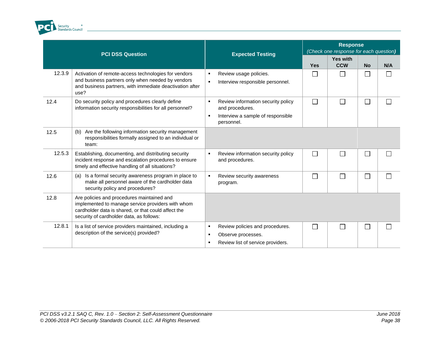

| <b>PCI DSS Question</b> |                                                                                                                                                                                                    | <b>Expected Testing</b>                                                                                                                          | <b>Response</b><br>(Check one response for each question) |                               |           |     |
|-------------------------|----------------------------------------------------------------------------------------------------------------------------------------------------------------------------------------------------|--------------------------------------------------------------------------------------------------------------------------------------------------|-----------------------------------------------------------|-------------------------------|-----------|-----|
|                         |                                                                                                                                                                                                    |                                                                                                                                                  | <b>Yes</b>                                                | <b>Yes with</b><br><b>CCW</b> | <b>No</b> | N/A |
| 12.3.9                  | Activation of remote-access technologies for vendors<br>and business partners only when needed by vendors<br>and business partners, with immediate deactivation after<br>use?                      | Review usage policies.<br>Interview responsible personnel.                                                                                       | $\mathsf{L}$                                              | $\Box$                        | $\Box$    |     |
| 12.4                    | Do security policy and procedures clearly define<br>information security responsibilities for all personnel?                                                                                       | Review information security policy<br>$\blacksquare$<br>and procedures.<br>Interview a sample of responsible<br>$\blacksquare$<br>personnel.     | $\Box$                                                    | $\Box$                        | $\Box$    |     |
| 12.5                    | Are the following information security management<br>(b)<br>responsibilities formally assigned to an individual or<br>team:                                                                        |                                                                                                                                                  |                                                           |                               |           |     |
| 12.5.3                  | Establishing, documenting, and distributing security<br>incident response and escalation procedures to ensure<br>timely and effective handling of all situations?                                  | Review information security policy<br>٠<br>and procedures.                                                                                       | Г                                                         | П                             | $\Box$    |     |
| 12.6                    | Is a formal security awareness program in place to<br>(a)<br>make all personnel aware of the cardholder data<br>security policy and procedures?                                                    | Review security awareness<br>program.                                                                                                            | Г                                                         | П                             | $\Box$    |     |
| 12.8                    | Are policies and procedures maintained and<br>implemented to manage service providers with whom<br>cardholder data is shared, or that could affect the<br>security of cardholder data, as follows: |                                                                                                                                                  |                                                           |                               |           |     |
| 12.8.1                  | Is a list of service providers maintained, including a<br>description of the service(s) provided?                                                                                                  | Review policies and procedures.<br>$\blacksquare$<br>Observe processes.<br>$\blacksquare$<br>Review list of service providers.<br>$\blacksquare$ | $\Box$                                                    | П                             | $\Box$    |     |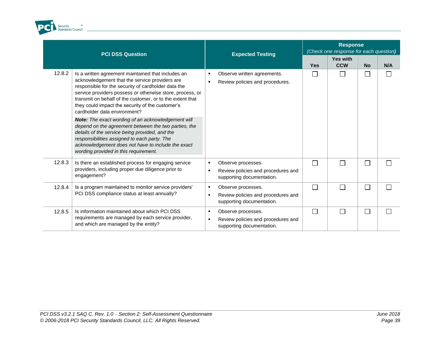

| <b>PCI DSS Question</b> |                                                                                                                                                                                                                                                                                                                                                                                                                                                                                                                                           | <b>Expected Testing</b>                                                               | <b>Response</b><br>(Check one response for each question) |                               |               |     |  |
|-------------------------|-------------------------------------------------------------------------------------------------------------------------------------------------------------------------------------------------------------------------------------------------------------------------------------------------------------------------------------------------------------------------------------------------------------------------------------------------------------------------------------------------------------------------------------------|---------------------------------------------------------------------------------------|-----------------------------------------------------------|-------------------------------|---------------|-----|--|
|                         |                                                                                                                                                                                                                                                                                                                                                                                                                                                                                                                                           |                                                                                       | <b>Yes</b>                                                | <b>Yes with</b><br><b>CCW</b> | <b>No</b>     | N/A |  |
| 12.8.2                  | Is a written agreement maintained that includes an<br>acknowledgement that the service providers are<br>responsible for the security of cardholder data the<br>service providers possess or otherwise store, process, or<br>transmit on behalf of the customer, or to the extent that<br>they could impact the security of the customer's<br>cardholder data environment?<br>Note: The exact wording of an acknowledgement will<br>depend on the agreement between the two parties, the<br>details of the service being provided, and the | Observe written agreements.<br>Review policies and procedures.                        |                                                           |                               |               |     |  |
|                         | responsibilities assigned to each party. The<br>acknowledgement does not have to include the exact<br>wording provided in this requirement.                                                                                                                                                                                                                                                                                                                                                                                               |                                                                                       |                                                           |                               |               |     |  |
| 12.8.3                  | Is there an established process for engaging service<br>providers, including proper due diligence prior to<br>engagement?                                                                                                                                                                                                                                                                                                                                                                                                                 | Observe processes.<br>Review policies and procedures and<br>supporting documentation. | $\Box$                                                    | Г                             | $\mathcal{L}$ |     |  |
| 12.8.4                  | Is a program maintained to monitor service providers'<br>PCI DSS compliance status at least annually?                                                                                                                                                                                                                                                                                                                                                                                                                                     | Observe processes.<br>Review policies and procedures and<br>supporting documentation. |                                                           |                               | $\sim$        |     |  |
| 12.8.5                  | Is information maintained about which PCI DSS<br>requirements are managed by each service provider,<br>and which are managed by the entity?                                                                                                                                                                                                                                                                                                                                                                                               | Observe processes.<br>Review policies and procedures and<br>supporting documentation. |                                                           |                               |               |     |  |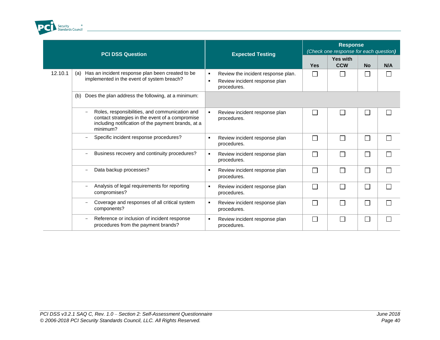

| <b>PCI DSS Question</b> |                                                                                                                                                                                                 | <b>Expected Testing</b>                                                            |            | <b>Response</b><br>(Check one response for each question) |           |     |  |
|-------------------------|-------------------------------------------------------------------------------------------------------------------------------------------------------------------------------------------------|------------------------------------------------------------------------------------|------------|-----------------------------------------------------------|-----------|-----|--|
|                         |                                                                                                                                                                                                 |                                                                                    | <b>Yes</b> | <b>Yes with</b><br><b>CCW</b>                             | <b>No</b> | N/A |  |
| 12.10.1                 | Has an incident response plan been created to be<br>(a)<br>implemented in the event of system breach?                                                                                           | Review the incident response plan.<br>Review incident response plan<br>procedures. |            |                                                           | M.        |     |  |
|                         | Does the plan address the following, at a minimum:<br>(b)                                                                                                                                       |                                                                                    |            |                                                           |           |     |  |
|                         | Roles, responsibilities, and communication and<br>$\overline{\phantom{0}}$<br>contact strategies in the event of a compromise<br>including notification of the payment brands, at a<br>minimum? | Review incident response plan<br>procedures.                                       | $\Box$     | П                                                         | $\Box$    |     |  |
|                         | Specific incident response procedures?<br>-                                                                                                                                                     | Review incident response plan<br>procedures.                                       | П          | П                                                         | $\Box$    |     |  |
|                         | Business recovery and continuity procedures?<br>$\overline{\phantom{0}}$                                                                                                                        | Review incident response plan<br>procedures.                                       | П          | П                                                         |           |     |  |
|                         | Data backup processes?                                                                                                                                                                          | Review incident response plan<br>procedures.                                       | $\Box$     | П                                                         | $\Box$    |     |  |
|                         | Analysis of legal requirements for reporting<br>compromises?                                                                                                                                    | Review incident response plan<br>procedures.                                       | $\Box$     | П                                                         | $\Box$    |     |  |
|                         | Coverage and responses of all critical system<br>components?                                                                                                                                    | Review incident response plan<br>procedures.                                       | П          | П                                                         | $\Box$    |     |  |
|                         | Reference or inclusion of incident response<br>-<br>procedures from the payment brands?                                                                                                         | Review incident response plan<br>procedures.                                       | $\Box$     | П                                                         | $\Box$    |     |  |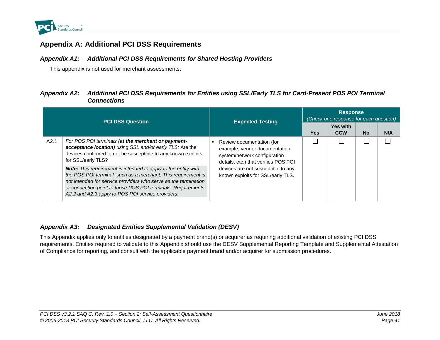

### **Appendix A: Additional PCI DSS Requirements**

### *Appendix A1: Additional PCI DSS Requirements for Shared Hosting Providers*

This appendix is not used for merchant assessments.

### *Appendix A2: Additional PCI DSS Requirements for Entities using SSL/Early TLS for Card-Present POS POI Terminal Connections*

<span id="page-46-1"></span><span id="page-46-0"></span>

| <b>PCI DSS Question</b> |                                                                                                                                                                                                                                                                                                                                |  | <b>Expected Testing</b>                                                                                                             | <b>Response</b><br>(Check one response for each question) |                               |           |     |  |
|-------------------------|--------------------------------------------------------------------------------------------------------------------------------------------------------------------------------------------------------------------------------------------------------------------------------------------------------------------------------|--|-------------------------------------------------------------------------------------------------------------------------------------|-----------------------------------------------------------|-------------------------------|-----------|-----|--|
|                         |                                                                                                                                                                                                                                                                                                                                |  |                                                                                                                                     | Yes                                                       | <b>Yes with</b><br><b>CCW</b> | <b>No</b> | N/A |  |
| A2.1                    | For POS POI terminals (at the merchant or payment-<br>acceptance location) using SSL and/or early TLS: Are the<br>devices confirmed to not be susceptible to any known exploits<br>for SSL/early TLS?                                                                                                                          |  | Review documentation (for<br>example, vendor documentation,<br>system/network configuration<br>details, etc.) that verifies POS POI |                                                           |                               |           |     |  |
|                         | <b>Note:</b> This requirement is intended to apply to the entity with<br>the POS POI terminal, such as a merchant. This requirement is<br>not intended for service providers who serve as the termination<br>or connection point to those POS POI terminals. Requirements<br>A2.2 and A2.3 apply to POS POI service providers. |  | devices are not susceptible to any<br>known exploits for SSL/early TLS.                                                             |                                                           |                               |           |     |  |

#### <span id="page-46-2"></span>*Appendix A3: Designated Entities Supplemental Validation (DESV)*

<span id="page-46-3"></span>This Appendix applies only to entities designated by a payment brand(s) or acquirer as requiring additional validation of existing PCI DSS requirements. Entities required to validate to this Appendix should use the DESV Supplemental Reporting Template and Supplemental Attestation of Compliance for reporting, and consult with the applicable payment brand and/or acquirer for submission procedures.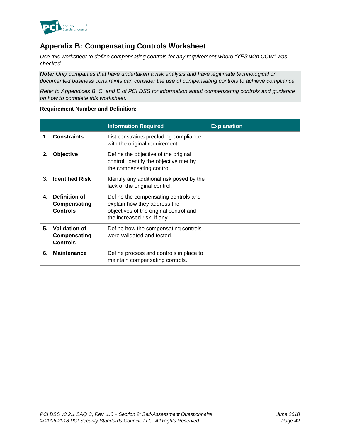

# <span id="page-47-0"></span>**Appendix B: Compensating Controls Worksheet**

*Use this worksheet to define compensating controls for any requirement where "YES with CCW" was checked.*

*Note: Only companies that have undertaken a risk analysis and have legitimate technological or documented business constraints can consider the use of compensating controls to achieve compliance.*

*Refer to Appendices B, C, and D of PCI DSS for information about compensating controls and guidance on how to complete this worksheet.*

#### **Requirement Number and Definition:**

|    |                                                  | <b>Information Required</b>                                                                                                                   | <b>Explanation</b> |
|----|--------------------------------------------------|-----------------------------------------------------------------------------------------------------------------------------------------------|--------------------|
| 1. | <b>Constraints</b>                               | List constraints precluding compliance<br>with the original requirement.                                                                      |                    |
| 2. | Objective                                        | Define the objective of the original<br>control; identify the objective met by<br>the compensating control.                                   |                    |
| З. | <b>Identified Risk</b>                           | Identify any additional risk posed by the<br>lack of the original control.                                                                    |                    |
| 4. | Definition of<br>Compensating<br><b>Controls</b> | Define the compensating controls and<br>explain how they address the<br>objectives of the original control and<br>the increased risk, if any. |                    |
| 5. | Validation of<br>Compensating<br><b>Controls</b> | Define how the compensating controls<br>were validated and tested.                                                                            |                    |
| 6. | <b>Maintenance</b>                               | Define process and controls in place to<br>maintain compensating controls.                                                                    |                    |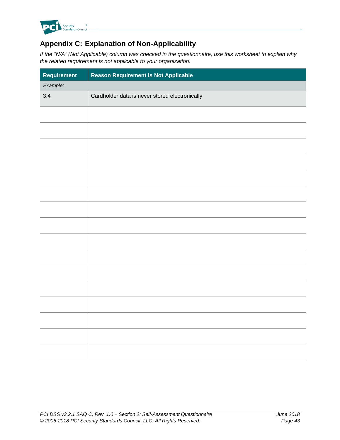

# <span id="page-48-0"></span>**Appendix C: Explanation of Non-Applicability**

*If the "N/A" (Not Applicable) column was checked in the questionnaire, use this worksheet to explain why the related requirement is not applicable to your organization.*

| Requirement | <b>Reason Requirement is Not Applicable</b>    |
|-------------|------------------------------------------------|
| Example:    |                                                |
| 3.4         | Cardholder data is never stored electronically |
|             |                                                |
|             |                                                |
|             |                                                |
|             |                                                |
|             |                                                |
|             |                                                |
|             |                                                |
|             |                                                |
|             |                                                |
|             |                                                |
|             |                                                |
|             |                                                |
|             |                                                |
|             |                                                |
|             |                                                |
|             |                                                |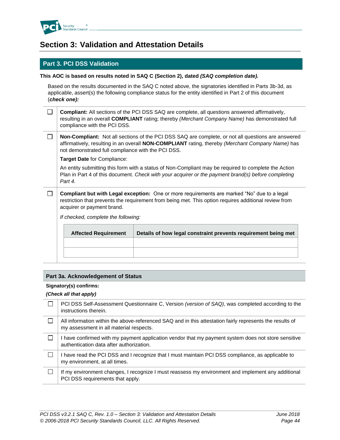

# <span id="page-49-0"></span>**Section 3: Validation and Attestation Details**

### **Part 3. PCI DSS Validation**

#### **This AOC is based on results noted in SAQ C (Section 2), dated** *(SAQ completion date).*

Based on the results documented in the SAQ C noted above, the signatories identified in Parts 3b-3d, as applicable, assert(s) the following compliance status for the entity identified in Part 2 of this document (*check one):*

| $\Box$ <b>Compliant:</b> All sections of the PCI DSS SAQ are complete, all questions answered affirmatively, |
|--------------------------------------------------------------------------------------------------------------|
| resulting in an overall COMPLIANT rating; thereby (Merchant Company Name) has demonstrated full              |
| compliance with the PCI DSS.                                                                                 |

 $\Box$ **Non-Compliant:** Not all sections of the PCI DSS SAQ are complete, or not all questions are answered affirmatively, resulting in an overall **NON-COMPLIANT** rating, thereby *(Merchant Company Name)* has not demonstrated full compliance with the PCI DSS.

**Target Date** for Compliance:

An entity submitting this form with a status of Non-Compliant may be required to complete the Action Plan in Part 4 of this document. *Check with your acquirer or the payment brand(s) before completing Part 4.*

 $\Box$ **Compliant but with Legal exception:** One or more requirements are marked "No" due to a legal restriction that prevents the requirement from being met. This option requires additional review from acquirer or payment brand.

*If checked, complete the following:*

| <b>Affected Requirement</b> | Details of how legal constraint prevents requirement being met |
|-----------------------------|----------------------------------------------------------------|
|                             |                                                                |
|                             |                                                                |
|                             |                                                                |

#### **Part 3a. Acknowledgement of Status**

#### **Signatory(s) confirms:**

#### *(Check all that apply)*

| PCI DSS Self-Assessment Questionnaire C, Version (version of SAQ), was completed according to the<br>instructions therein.                          |
|-----------------------------------------------------------------------------------------------------------------------------------------------------|
| All information within the above-referenced SAQ and in this attestation fairly represents the results of<br>my assessment in all material respects. |
| I have confirmed with my payment application vendor that my payment system does not store sensitive<br>authentication data after authorization.     |
| I have read the PCI DSS and I recognize that I must maintain PCI DSS compliance, as applicable to<br>my environment, at all times.                  |
| If my environment changes, I recognize I must reassess my environment and implement any additional<br>PCI DSS requirements that apply.              |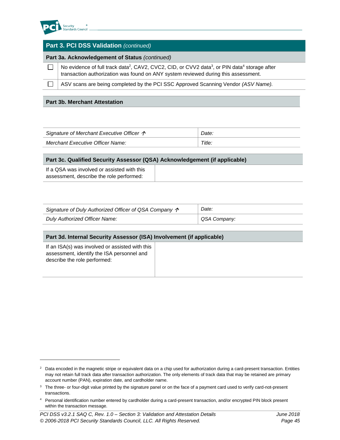

l

| <b>Part 3. PCI DSS Validation (continued)</b>                                                                                                                                                                           |  |  |  |  |
|-------------------------------------------------------------------------------------------------------------------------------------------------------------------------------------------------------------------------|--|--|--|--|
| Part 3a. Acknowledgement of Status (continued)                                                                                                                                                                          |  |  |  |  |
| No evidence of full track data <sup>2</sup> , CAV2, CVC2, CID, or CVV2 data <sup>3</sup> , or PIN data <sup>4</sup> storage after<br>transaction authorization was found on ANY system reviewed during this assessment. |  |  |  |  |
| ASV scans are being completed by the PCI SSC Approved Scanning Vendor (ASV Name).                                                                                                                                       |  |  |  |  |
|                                                                                                                                                                                                                         |  |  |  |  |

#### **Part 3b. Merchant Attestation**

| Signature of Merchant Executive Officer $\uparrow$ | Date.  |
|----------------------------------------------------|--------|
| <b>Merchant Executive Officer Name:</b>            | Title. |

| Part 3c. Qualified Security Assessor (QSA) Acknowledgement (if applicable)              |  |  |  |  |
|-----------------------------------------------------------------------------------------|--|--|--|--|
| If a QSA was involved or assisted with this<br>assessment, describe the role performed: |  |  |  |  |

| Signature of Duly Authorized Officer of QSA Company $\hat{\mathcal{P}}$ | Date:        |
|-------------------------------------------------------------------------|--------------|
| <b>Duly Authorized Officer Name:</b>                                    | QSA Company: |

#### **Part 3d. Internal Security Assessor (ISA) Involvement (if applicable)**

| If an ISA(s) was involved or assisted with this |  |
|-------------------------------------------------|--|
| assessment, identify the ISA personnel and      |  |
| describe the role performed:                    |  |

<sup>&</sup>lt;sup>2</sup> Data encoded in the magnetic stripe or equivalent data on a chip used for authorization during a card-present transaction. Entities may not retain full track data after transaction authorization. The only elements of track data that may be retained are primary account number (PAN), expiration date, and cardholder name.

<sup>&</sup>lt;sup>3</sup> The three- or four-digit value printed by the signature panel or on the face of a payment card used to verify card-not-present transactions.

<sup>4</sup> Personal identification number entered by cardholder during a card-present transaction, and/or encrypted PIN block present within the transaction message.